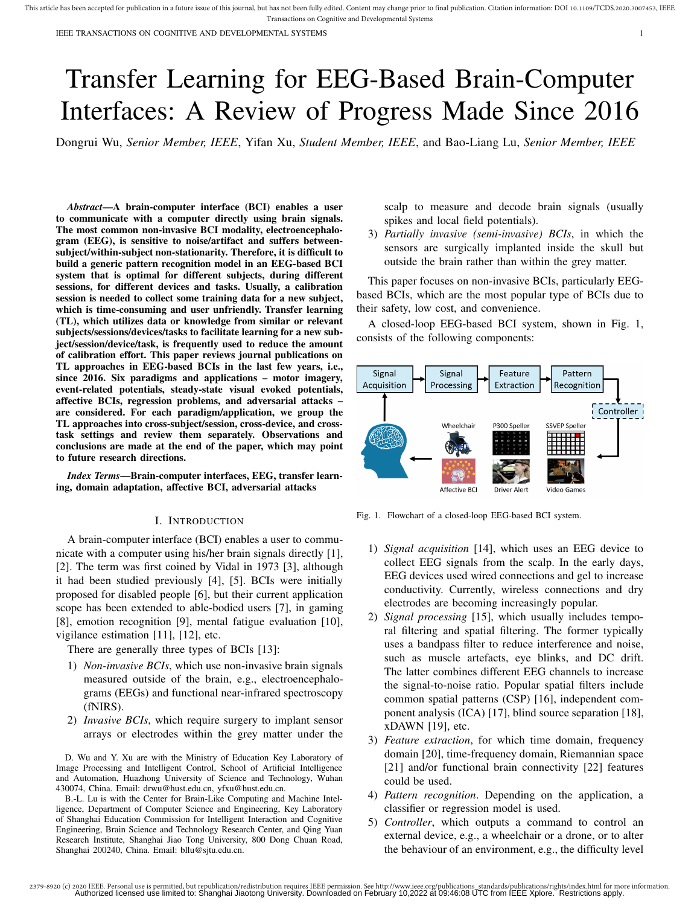IEEE TRANSACTIONS ON COGNITIVE AND DEVELOPMENTAL SYSTEMS 1

# Transfer Learning for EEG-Based Brain-Computer Interfaces: A Review of Progress Made Since 2016

Dongrui Wu, *Senior Member, IEEE*, Yifan Xu, *Student Member, IEEE*, and Bao-Liang Lu, *Senior Member, IEEE*

*Abstract***—A brain-computer interface (BCI) enables a user to communicate with a computer directly using brain signals. The most common non-invasive BCI modality, electroencephalogram (EEG), is sensitive to noise/artifact and suffers betweensubject/within-subject non-stationarity. Therefore, it is difficult to build a generic pattern recognition model in an EEG-based BCI system that is optimal for different subjects, during different sessions, for different devices and tasks. Usually, a calibration session is needed to collect some training data for a new subject, which is time-consuming and user unfriendly. Transfer learning (TL), which utilizes data or knowledge from similar or relevant subjects/sessions/devices/tasks to facilitate learning for a new subject/session/device/task, is frequently used to reduce the amount of calibration effort. This paper reviews journal publications on TL approaches in EEG-based BCIs in the last few years, i.e., since 2016. Six paradigms and applications – motor imagery, event-related potentials, steady-state visual evoked potentials, affective BCIs, regression problems, and adversarial attacks – are considered. For each paradigm/application, we group the TL approaches into cross-subject/session, cross-device, and crosstask settings and review them separately. Observations and conclusions are made at the end of the paper, which may point to future research directions.**

*Index Terms***—Brain-computer interfaces, EEG, transfer learning, domain adaptation, affective BCI, adversarial attacks**

#### I. INTRODUCTION

A brain-computer interface (BCI) enables a user to communicate with a computer using his/her brain signals directly [1], [2]. The term was first coined by Vidal in 1973 [3], although it had been studied previously [4], [5]. BCIs were initially proposed for disabled people [6], but their current application scope has been extended to able-bodied users [7], in gaming [8], emotion recognition [9], mental fatigue evaluation [10], vigilance estimation [11], [12], etc.

There are generally three types of BCIs [13]:

- 1) *Non-invasive BCIs*, which use non-invasive brain signals measured outside of the brain, e.g., electroencephalograms (EEGs) and functional near-infrared spectroscopy (fNIRS).
- 2) *Invasive BCIs*, which require surgery to implant sensor arrays or electrodes within the grey matter under the

D. Wu and Y. Xu are with the Ministry of Education Key Laboratory of Image Processing and Intelligent Control, School of Artificial Intelligence and Automation, Huazhong University of Science and Technology, Wuhan 430074, China. Email: drwu@hust.edu.cn, yfxu@hust.edu.cn.

B.-L. Lu is with the Center for Brain-Like Computing and Machine Intelligence, Department of Computer Science and Engineering, Key Laboratory of Shanghai Education Commission for Intelligent Interaction and Cognitive Engineering, Brain Science and Technology Research Center, and Qing Yuan Research Institute, Shanghai Jiao Tong University, 800 Dong Chuan Road, Shanghai 200240, China. Email: bllu@sjtu.edu.cn.

scalp to measure and decode brain signals (usually spikes and local field potentials).

3) *Partially invasive (semi-invasive) BCIs*, in which the sensors are surgically implanted inside the skull but outside the brain rather than within the grey matter.

This paper focuses on non-invasive BCIs, particularly EEGbased BCIs, which are the most popular type of BCIs due to their safety, low cost, and convenience.

A closed-loop EEG-based BCI system, shown in Fig. 1, consists of the following components:



Fig. 1. Flowchart of a closed-loop EEG-based BCI system.

- 1) *Signal acquisition* [14], which uses an EEG device to collect EEG signals from the scalp. In the early days, EEG devices used wired connections and gel to increase conductivity. Currently, wireless connections and dry electrodes are becoming increasingly popular.
- 2) *Signal processing* [15], which usually includes temporal filtering and spatial filtering. The former typically uses a bandpass filter to reduce interference and noise, such as muscle artefacts, eye blinks, and DC drift. The latter combines different EEG channels to increase the signal-to-noise ratio. Popular spatial filters include common spatial patterns (CSP) [16], independent component analysis (ICA) [17], blind source separation [18], xDAWN [19], etc.
- 3) *Feature extraction*, for which time domain, frequency domain [20], time-frequency domain, Riemannian space [21] and/or functional brain connectivity [22] features could be used.
- 4) *Pattern recognition*. Depending on the application, a classifier or regression model is used.
- 5) *Controller*, which outputs a command to control an external device, e.g., a wheelchair or a drone, or to alter the behaviour of an environment, e.g., the difficulty level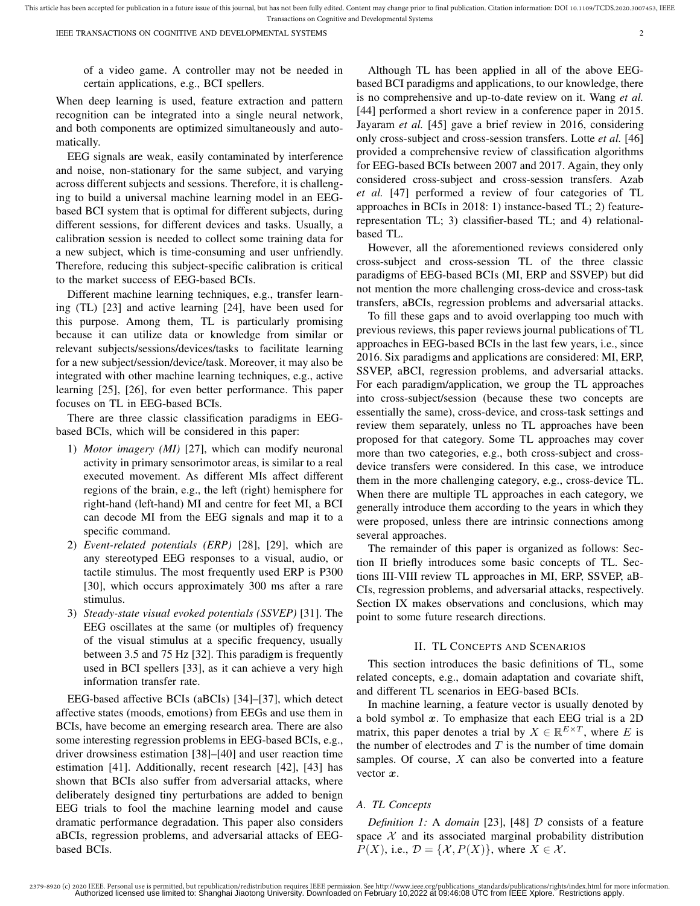of a video game. A controller may not be needed in certain applications, e.g., BCI spellers.

When deep learning is used, feature extraction and pattern recognition can be integrated into a single neural network, and both components are optimized simultaneously and automatically.

EEG signals are weak, easily contaminated by interference and noise, non-stationary for the same subject, and varying across different subjects and sessions. Therefore, it is challenging to build a universal machine learning model in an EEGbased BCI system that is optimal for different subjects, during different sessions, for different devices and tasks. Usually, a calibration session is needed to collect some training data for a new subject, which is time-consuming and user unfriendly. Therefore, reducing this subject-specific calibration is critical to the market success of EEG-based BCIs.

Different machine learning techniques, e.g., transfer learning (TL) [23] and active learning [24], have been used for this purpose. Among them, TL is particularly promising because it can utilize data or knowledge from similar or relevant subjects/sessions/devices/tasks to facilitate learning for a new subject/session/device/task. Moreover, it may also be integrated with other machine learning techniques, e.g., active learning [25], [26], for even better performance. This paper focuses on TL in EEG-based BCIs.

There are three classic classification paradigms in EEGbased BCIs, which will be considered in this paper:

- 1) *Motor imagery (MI)* [27], which can modify neuronal activity in primary sensorimotor areas, is similar to a real executed movement. As different MIs affect different regions of the brain, e.g., the left (right) hemisphere for right-hand (left-hand) MI and centre for feet MI, a BCI can decode MI from the EEG signals and map it to a specific command.
- 2) *Event-related potentials (ERP)* [28], [29], which are any stereotyped EEG responses to a visual, audio, or tactile stimulus. The most frequently used ERP is P300 [30], which occurs approximately 300 ms after a rare stimulus.
- 3) *Steady-state visual evoked potentials (SSVEP)* [31]. The EEG oscillates at the same (or multiples of) frequency of the visual stimulus at a specific frequency, usually between 3.5 and 75 Hz [32]. This paradigm is frequently used in BCI spellers [33], as it can achieve a very high information transfer rate.

EEG-based affective BCIs (aBCIs) [34]–[37], which detect affective states (moods, emotions) from EEGs and use them in BCIs, have become an emerging research area. There are also some interesting regression problems in EEG-based BCIs, e.g., driver drowsiness estimation [38]–[40] and user reaction time estimation [41]. Additionally, recent research [42], [43] has shown that BCIs also suffer from adversarial attacks, where deliberately designed tiny perturbations are added to benign EEG trials to fool the machine learning model and cause dramatic performance degradation. This paper also considers aBCIs, regression problems, and adversarial attacks of EEGbased BCIs.

Although TL has been applied in all of the above EEGbased BCI paradigms and applications, to our knowledge, there is no comprehensive and up-to-date review on it. Wang *et al.* [44] performed a short review in a conference paper in 2015. Jayaram *et al.* [45] gave a brief review in 2016, considering only cross-subject and cross-session transfers. Lotte *et al.* [46] provided a comprehensive review of classification algorithms for EEG-based BCIs between 2007 and 2017. Again, they only considered cross-subject and cross-session transfers. Azab *et al.* [47] performed a review of four categories of TL approaches in BCIs in 2018: 1) instance-based TL; 2) featurerepresentation TL; 3) classifier-based TL; and 4) relationalbased TL.

However, all the aforementioned reviews considered only cross-subject and cross-session TL of the three classic paradigms of EEG-based BCIs (MI, ERP and SSVEP) but did not mention the more challenging cross-device and cross-task transfers, aBCIs, regression problems and adversarial attacks.

To fill these gaps and to avoid overlapping too much with previous reviews, this paper reviews journal publications of TL approaches in EEG-based BCIs in the last few years, i.e., since 2016. Six paradigms and applications are considered: MI, ERP, SSVEP, aBCI, regression problems, and adversarial attacks. For each paradigm/application, we group the TL approaches into cross-subject/session (because these two concepts are essentially the same), cross-device, and cross-task settings and review them separately, unless no TL approaches have been proposed for that category. Some TL approaches may cover more than two categories, e.g., both cross-subject and crossdevice transfers were considered. In this case, we introduce them in the more challenging category, e.g., cross-device TL. When there are multiple TL approaches in each category, we generally introduce them according to the years in which they were proposed, unless there are intrinsic connections among several approaches.

The remainder of this paper is organized as follows: Section II briefly introduces some basic concepts of TL. Sections III-VIII review TL approaches in MI, ERP, SSVEP, aB-CIs, regression problems, and adversarial attacks, respectively. Section IX makes observations and conclusions, which may point to some future research directions.

#### II. TL CONCEPTS AND SCENARIOS

This section introduces the basic definitions of TL, some related concepts, e.g., domain adaptation and covariate shift, and different TL scenarios in EEG-based BCIs.

In machine learning, a feature vector is usually denoted by a bold symbol  $x$ . To emphasize that each EEG trial is a 2D matrix, this paper denotes a trial by  $X \in \mathbb{R}^{E \times T}$ , where E is the number of electrodes and  $T$  is the number of time domain samples. Of course,  $X$  can also be converted into a feature vector  $x$ .

# *A. TL Concepts*

*Definition 1:* A *domain* [23], [48] D consists of a feature space  $X$  and its associated marginal probability distribution  $P(X)$ , i.e.,  $\mathcal{D} = \{X, P(X)\}\text{, where } X \in \mathcal{X}.$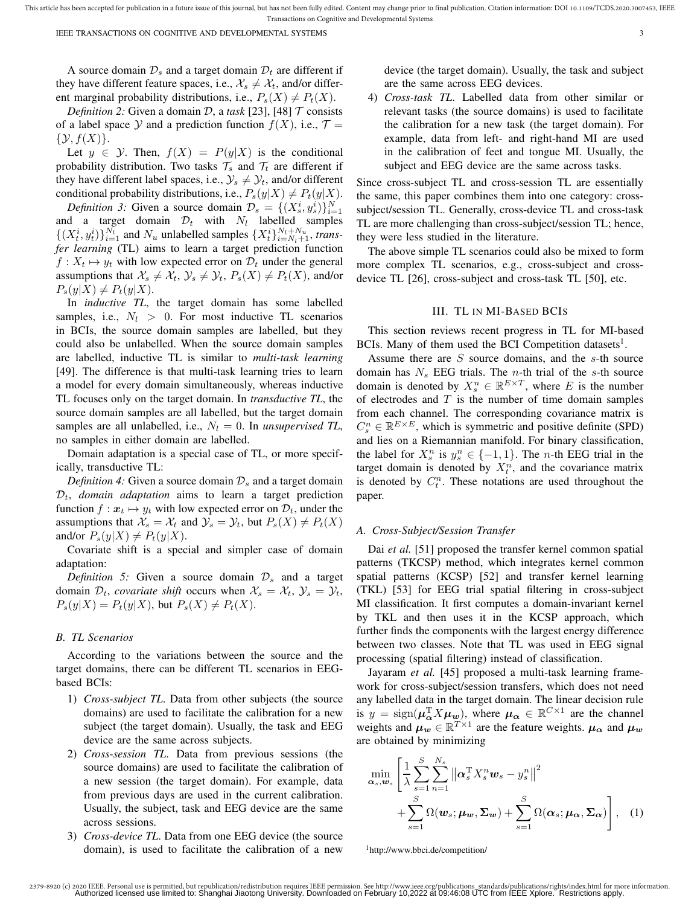A source domain  $\mathcal{D}_s$  and a target domain  $\mathcal{D}_t$  are different if they have different feature spaces, i.e.,  $\mathcal{X}_s \neq \mathcal{X}_t$ , and/or different marginal probability distributions, i.e.,  $P_s(X) \neq P_t(X)$ .

*Definition 2:* Given a domain D, a task [23], [48]  $\mathcal T$  consists of a label space Y and a prediction function  $f(X)$ , i.e.,  $\mathcal{T} =$  $\{Y, f(X)\}.$ 

Let  $y \in \mathcal{Y}$ . Then,  $f(X) = P(y|X)$  is the conditional probability distribution. Two tasks  $\mathcal{T}_s$  and  $\mathcal{T}_t$  are different if they have different label spaces, i.e.,  $\mathcal{Y}_s \neq \mathcal{Y}_t$ , and/or different conditional probability distributions, i.e.,  $P_s(y|X) \neq P_t(y|X)$ .

*Definition 3:* Given a source domain  $\mathcal{D}_s = \{(X_s^i, y_s^i)\}_{i=1}^N$ and a target domain  $\mathcal{D}_t$  with  $N_l$  labelled samples  $\{(X_t^i, y_t^i)\}_{i=1}^{N_l}$  and  $N_u$  unlabelled samples  $\{X_t^i\}_{i=N_l+1}^{N_l+N_u}$ , *transfer learning* (TL) aims to learn a target prediction function  $f: X_t \mapsto y_t$  with low expected error on  $\mathcal{D}_t$  under the general assumptions that  $\mathcal{X}_s \neq \mathcal{X}_t$ ,  $\mathcal{Y}_s \neq \mathcal{Y}_t$ ,  $P_s(X) \neq P_t(X)$ , and/or  $P_s(y|X) \neq P_t(y|X)$ .

In *inductive TL*, the target domain has some labelled samples, i.e.,  $N_l > 0$ . For most inductive TL scenarios in BCIs, the source domain samples are labelled, but they could also be unlabelled. When the source domain samples are labelled, inductive TL is similar to *multi-task learning* [49]. The difference is that multi-task learning tries to learn a model for every domain simultaneously, whereas inductive TL focuses only on the target domain. In *transductive TL*, the source domain samples are all labelled, but the target domain samples are all unlabelled, i.e.,  $N_l = 0$ . In *unsupervised TL*, no samples in either domain are labelled.

Domain adaptation is a special case of TL, or more specifically, transductive TL:

*Definition 4:* Given a source domain  $\mathcal{D}_s$  and a target domain  $\mathcal{D}_t$ , *domain adaptation* aims to learn a target prediction function  $f: x_t \mapsto y_t$  with low expected error on  $\mathcal{D}_t$ , under the assumptions that  $\mathcal{X}_s = \mathcal{X}_t$  and  $\mathcal{Y}_s = \mathcal{Y}_t$ , but  $P_s(X) \neq P_t(X)$ and/or  $P_s(y|X) \neq P_t(y|X)$ .

Covariate shift is a special and simpler case of domain adaptation:

*Definition 5:* Given a source domain  $\mathcal{D}_s$  and a target domain  $\mathcal{D}_t$ , *covariate shift* occurs when  $\mathcal{X}_s = \mathcal{X}_t$ ,  $\mathcal{Y}_s = \mathcal{Y}_t$ ,  $P_s(y|X) = P_t(y|X)$ , but  $P_s(X) \neq P_t(X)$ .

#### *B. TL Scenarios*

According to the variations between the source and the target domains, there can be different TL scenarios in EEGbased BCIs:

- 1) *Cross-subject TL*. Data from other subjects (the source domains) are used to facilitate the calibration for a new subject (the target domain). Usually, the task and EEG device are the same across subjects.
- 2) *Cross-session TL*. Data from previous sessions (the source domains) are used to facilitate the calibration of a new session (the target domain). For example, data from previous days are used in the current calibration. Usually, the subject, task and EEG device are the same across sessions.
- 3) *Cross-device TL*. Data from one EEG device (the source domain), is used to facilitate the calibration of a new

device (the target domain). Usually, the task and subject are the same across EEG devices.

4) *Cross-task TL*. Labelled data from other similar or relevant tasks (the source domains) is used to facilitate the calibration for a new task (the target domain). For example, data from left- and right-hand MI are used in the calibration of feet and tongue MI. Usually, the subject and EEG device are the same across tasks.

Since cross-subject TL and cross-session TL are essentially the same, this paper combines them into one category: crosssubject/session TL. Generally, cross-device TL and cross-task TL are more challenging than cross-subject/session TL; hence, they were less studied in the literature.

The above simple TL scenarios could also be mixed to form more complex TL scenarios, e.g., cross-subject and crossdevice TL [26], cross-subject and cross-task TL [50], etc.

### III. TL IN MI-BASED BCIS

This section reviews recent progress in TL for MI-based BCIs. Many of them used the BCI Competition datasets<sup>1</sup>.

Assume there are  $S$  source domains, and the  $s$ -th source domain has  $N_s$  EEG trials. The *n*-th trial of the *s*-th source domain is denoted by  $X_s^n \in \mathbb{R}^{E \times T}$ , where E is the number of electrodes and  $T$  is the number of time domain samples from each channel. The corresponding covariance matrix is  $C_s^n \in \mathbb{R}^{E \times E}$ , which is symmetric and positive definite (SPD) and lies on a Riemannian manifold. For binary classification, the label for  $X_s^n$  is  $y_s^n \in \{-1, 1\}$ . The *n*-th EEG trial in the target domain is denoted by  $X_t^n$ , and the covariance matrix is denoted by  $C_t^n$ . These notations are used throughout the paper.

#### *A. Cross-Subject/Session Transfer*

Dai *et al.* [51] proposed the transfer kernel common spatial patterns (TKCSP) method, which integrates kernel common spatial patterns (KCSP) [52] and transfer kernel learning (TKL) [53] for EEG trial spatial filtering in cross-subject MI classification. It first computes a domain-invariant kernel by TKL and then uses it in the KCSP approach, which further finds the components with the largest energy difference between two classes. Note that TL was used in EEG signal processing (spatial filtering) instead of classification.

Jayaram *et al.* [45] proposed a multi-task learning framework for cross-subject/session transfers, which does not need any labelled data in the target domain. The linear decision rule is  $y = \text{sign}(\mu_{\alpha}^T X \mu_w)$ , where  $\mu_{\alpha} \in \mathbb{R}^{C \times 1}$  are the channel weights and  $\mu_w \in \mathbb{R}^{T \times 1}$  are the feature weights.  $\mu_\alpha$  and  $\mu_w$ are obtained by minimizing

$$
\min_{\boldsymbol{\alpha}_s, \boldsymbol{w}_s} \left[ \frac{1}{\lambda} \sum_{s=1}^S \sum_{n=1}^{N_s} \left\| \boldsymbol{\alpha}_s^{\mathrm{T}} X_s^n \boldsymbol{w}_s - y_s^n \right\|^2 + \sum_{s=1}^S \Omega(\boldsymbol{w}_s; \boldsymbol{\mu}_\mathbf{w}, \boldsymbol{\Sigma}_\mathbf{w}) + \sum_{s=1}^S \Omega(\boldsymbol{\alpha}_s; \boldsymbol{\mu}_\mathbf{\alpha}, \boldsymbol{\Sigma}_\mathbf{\alpha}) \right], \quad (1)
$$

<sup>1</sup>http://www.bbci.de/competition/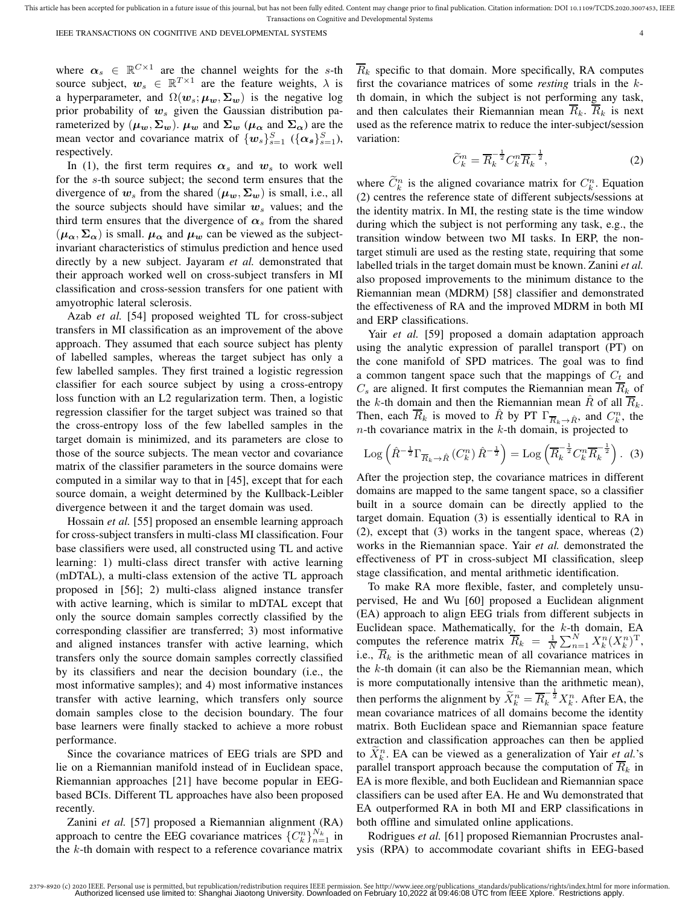IEEE TRANSACTIONS ON COGNITIVE AND DEVELOPMENTAL SYSTEMS 4

where  $\alpha_s \in \mathbb{R}^{C \times 1}$  are the channel weights for the s-th source subject,  $w_s \in \mathbb{R}^{T \times 1}$  are the feature weights,  $\lambda$  is a hyperparameter, and  $\Omega(w_s; \mu_w, \Sigma_w)$  is the negative log prior probability of  $w_s$  given the Gaussian distribution parameterized by  $(\mu_w, \Sigma_w)$ .  $\mu_w$  and  $\Sigma_w$   $(\mu_\alpha$  and  $\Sigma_\alpha)$  are the mean vector and covariance matrix of  $\{w_s\}_{s=1}^S$  ( $\{\alpha_s\}_{s=1}^S$ ), respectively.

In (1), the first term requires  $\alpha_s$  and  $w_s$  to work well for the s-th source subject; the second term ensures that the divergence of  $w_s$  from the shared  $(\mu_w, \Sigma_w)$  is small, i.e., all the source subjects should have similar  $w_s$  values; and the third term ensures that the divergence of  $\alpha_s$  from the shared  $(\mu_{\alpha}, \Sigma_{\alpha})$  is small.  $\mu_{\alpha}$  and  $\mu_{w}$  can be viewed as the subjectinvariant characteristics of stimulus prediction and hence used directly by a new subject. Jayaram *et al.* demonstrated that their approach worked well on cross-subject transfers in MI classification and cross-session transfers for one patient with amyotrophic lateral sclerosis.

Azab *et al.* [54] proposed weighted TL for cross-subject transfers in MI classification as an improvement of the above approach. They assumed that each source subject has plenty of labelled samples, whereas the target subject has only a few labelled samples. They first trained a logistic regression classifier for each source subject by using a cross-entropy loss function with an L2 regularization term. Then, a logistic regression classifier for the target subject was trained so that the cross-entropy loss of the few labelled samples in the target domain is minimized, and its parameters are close to those of the source subjects. The mean vector and covariance matrix of the classifier parameters in the source domains were computed in a similar way to that in [45], except that for each source domain, a weight determined by the Kullback-Leibler divergence between it and the target domain was used.

Hossain *et al.* [55] proposed an ensemble learning approach for cross-subject transfers in multi-class MI classification. Four base classifiers were used, all constructed using TL and active learning: 1) multi-class direct transfer with active learning (mDTAL), a multi-class extension of the active TL approach proposed in [56]; 2) multi-class aligned instance transfer with active learning, which is similar to mDTAL except that only the source domain samples correctly classified by the corresponding classifier are transferred; 3) most informative and aligned instances transfer with active learning, which transfers only the source domain samples correctly classified by its classifiers and near the decision boundary (i.e., the most informative samples); and 4) most informative instances transfer with active learning, which transfers only source domain samples close to the decision boundary. The four base learners were finally stacked to achieve a more robust performance.

Since the covariance matrices of EEG trials are SPD and lie on a Riemannian manifold instead of in Euclidean space, Riemannian approaches [21] have become popular in EEGbased BCIs. Different TL approaches have also been proposed recently.

Zanini *et al.* [57] proposed a Riemannian alignment (RA) approach to centre the EEG covariance matrices  ${C_k^n}_{n=1}^{N_k}$  in the k-th domain with respect to a reference covariance matrix  $\overline{R}_k$  specific to that domain. More specifically, RA computes first the covariance matrices of some *resting* trials in the kth domain, in which the subject is not performing any task, and then calculates their Riemannian mean  $\overline{R}_k$ .  $\overline{R}_k$  is next used as the reference matrix to reduce the inter-subject/session variation:

$$
\widetilde{C}_k^n = \overline{R}_k^{-\frac{1}{2}} C_k^n \overline{R}_k^{-\frac{1}{2}},\tag{2}
$$

where  $\tilde{C}_k^n$  is the aligned covariance matrix for  $C_k^n$ . Equation (2) centres the reference state of different subjects/sessions at the identity matrix. In MI, the resting state is the time window during which the subject is not performing any task, e.g., the transition window between two MI tasks. In ERP, the nontarget stimuli are used as the resting state, requiring that some labelled trials in the target domain must be known. Zanini *et al.* also proposed improvements to the minimum distance to the Riemannian mean (MDRM) [58] classifier and demonstrated the effectiveness of RA and the improved MDRM in both MI and ERP classifications.

Yair *et al.* [59] proposed a domain adaptation approach using the analytic expression of parallel transport (PT) on the cone manifold of SPD matrices. The goal was to find a common tangent space such that the mappings of  $C_t$  and  $C_s$  are aligned. It first computes the Riemannian mean  $\overline{R}_k$  of the k-th domain and then the Riemannian mean  $\hat{R}$  of all  $\overline{R}_k$ . Then, each  $\overline{R}_k$  is moved to  $\hat{R}$  by PT  $\Gamma_{\overline{R}_k \to \hat{R}}$ , and  $C_k^n$ , the  $n$ -th covariance matrix in the k-th domain, is projected to

$$
\operatorname{Log}\left(\hat{R}^{-\frac{1}{2}}\Gamma_{\overline{R}_k\to\hat{R}}\left(C_k^n\right)\hat{R}^{-\frac{1}{2}}\right) = \operatorname{Log}\left(\overline{R}_k^{-\frac{1}{2}}C_k^n\overline{R}_k^{-\frac{1}{2}}\right). (3)
$$

After the projection step, the covariance matrices in different domains are mapped to the same tangent space, so a classifier built in a source domain can be directly applied to the target domain. Equation (3) is essentially identical to RA in (2), except that (3) works in the tangent space, whereas (2) works in the Riemannian space. Yair *et al.* demonstrated the effectiveness of PT in cross-subject MI classification, sleep stage classification, and mental arithmetic identification.

To make RA more flexible, faster, and completely unsupervised, He and Wu [60] proposed a Euclidean alignment (EA) approach to align EEG trials from different subjects in Euclidean space. Mathematically, for the  $k$ -th domain, EA computes the reference matrix  $\overline{R}_k = \frac{1}{N} \sum_{n=1}^N X_k^n (X_k^n)^T$ , i.e.,  $\overline{R}_k$  is the arithmetic mean of all covariance matrices in the  $k$ -th domain (it can also be the Riemannian mean, which is more computationally intensive than the arithmetic mean), then performs the alignment by  $\widetilde{X}_k^n = \overline{R}_k^{-\frac{1}{2}} X_k^n$ . After EA, the mean covariance matrices of all domains become the identity matrix. Both Euclidean space and Riemannian space feature extraction and classification approaches can then be applied to  $\widetilde{X}_k^n$ . EA can be viewed as a generalization of Yair *et al.*'s parallel transport approach because the computation of  $\overline{R}_k$  in EA is more flexible, and both Euclidean and Riemannian space classifiers can be used after EA. He and Wu demonstrated that EA outperformed RA in both MI and ERP classifications in both offline and simulated online applications.

Rodrigues *et al.* [61] proposed Riemannian Procrustes analysis (RPA) to accommodate covariant shifts in EEG-based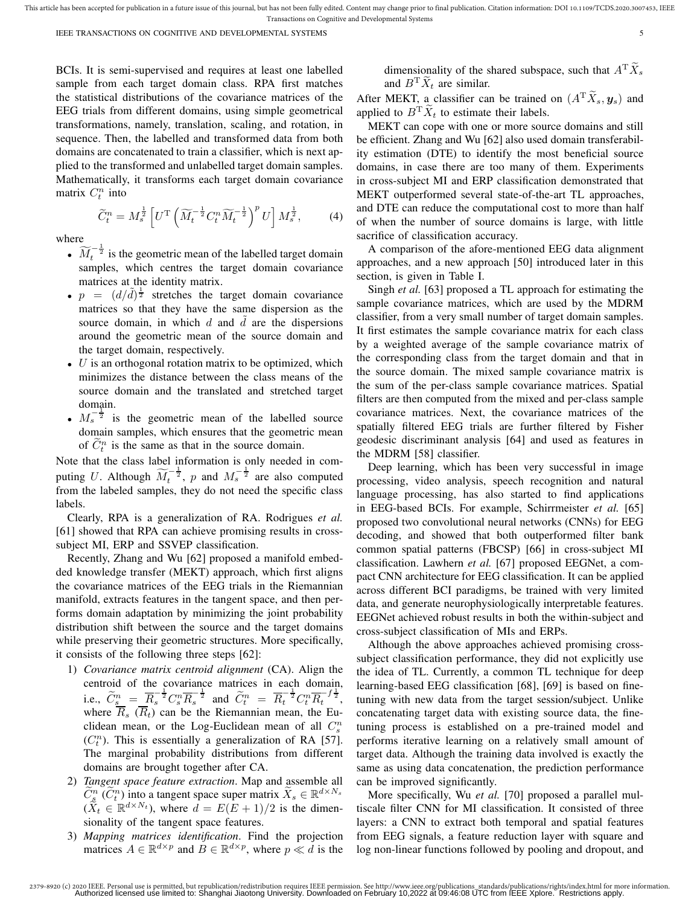BCIs. It is semi-supervised and requires at least one labelled sample from each target domain class. RPA first matches the statistical distributions of the covariance matrices of the EEG trials from different domains, using simple geometrical transformations, namely, translation, scaling, and rotation, in sequence. Then, the labelled and transformed data from both domains are concatenated to train a classifier, which is next applied to the transformed and unlabelled target domain samples. Mathematically, it transforms each target domain covariance matrix  $C_t^n$  into

$$
\widetilde{C}_t^n = M_s^{\frac{1}{2}} \left[ U^{\mathrm{T}} \left( \widetilde{M}_t^{-\frac{1}{2}} C_t^n \widetilde{M}_t^{-\frac{1}{2}} \right)^p U \right] M_s^{\frac{1}{2}},\tag{4}
$$

where

- $\widetilde{M}_t^{-\frac{1}{2}}$  is the geometric mean of the labelled target domain samples, which centres the target domain covariance matrices at the identity matrix.
- $p = (d/\tilde{d})^{\frac{1}{2}}$  stretches the target domain covariance matrices so that they have the same dispersion as the source domain, in which  $d$  and  $\tilde{d}$  are the dispersions around the geometric mean of the source domain and the target domain, respectively.
- $\bullet$  U is an orthogonal rotation matrix to be optimized, which minimizes the distance between the class means of the source domain and the translated and stretched target domain.
- $M_s^{-\frac{1}{2}}$  is the geometric mean of the labelled source domain samples, which ensures that the geometric mean of  $\tilde{C}_t^n$  is the same as that in the source domain.

Note that the class label information is only needed in computing U. Although  $\widetilde{M}_t^{-\frac{1}{2}}$ , p and  $M_s^{-\frac{1}{2}}$  are also computed from the labeled samples, they do not need the specific class labels.

Clearly, RPA is a generalization of RA. Rodrigues *et al.* [61] showed that RPA can achieve promising results in crosssubject MI, ERP and SSVEP classification.

Recently, Zhang and Wu [62] proposed a manifold embedded knowledge transfer (MEKT) approach, which first aligns the covariance matrices of the EEG trials in the Riemannian manifold, extracts features in the tangent space, and then performs domain adaptation by minimizing the joint probability distribution shift between the source and the target domains while preserving their geometric structures. More specifically, it consists of the following three steps [62]:

- 1) *Covariance matrix centroid alignment* (CA). Align the centroid of the covariance matrices in each domain, i.e.,  $\widetilde{C}_{s}^{n} = \frac{\overline{R}_{s}}{R_{s}}^{\frac{1}{2}} C_{s}^{n} \overline{R}_{s}^{-\frac{1}{2}}$  and  $\widetilde{C}_{t}^{n} = \overline{R_{t}}^{\frac{1}{2}} C_{t}^{n} \overline{R_{t}}^{-\frac{1}{2}}$ , where  $R_s$  ( $R_t$ ) can be the Riemannian mean, the Euclidean mean, or the Log-Euclidean mean of all  $C_s^n$  $(C<sub>t</sub><sup>n</sup>)$ . This is essentially a generalization of RA [57]. The marginal probability distributions from different domains are brought together after CA.
- 2) *Tangent space feature extraction*. Map and assemble all  $\widetilde{C}^n_s(\widetilde{C}^n_t)$  into a tangent space super matrix  $\widetilde{X}_s \in \mathbb{R}^{d \times N_s}$  $(\tilde{X}_t \in \mathbb{R}^{d \times N_t})$ , where  $d = E(E+1)/2$  is the dimensionality of the tangent space features.
- 3) *Mapping matrices identification*. Find the projection matrices  $A \in \mathbb{R}^{d \times p}$  and  $B \in \mathbb{R}^{d \times p}$ , where  $p \ll d$  is the

dimensionality of the shared subspace, such that  $A^T X_s$ and  $B^T \widetilde{X}_t$  are similar.

After MEKT, a classifier can be trained on  $(A^T \tilde{X}_s, y_s)$  and applied to  $B^T \tilde{X}_t$  to estimate their labels.

MEKT can cope with one or more source domains and still be efficient. Zhang and Wu [62] also used domain transferability estimation (DTE) to identify the most beneficial source domains, in case there are too many of them. Experiments in cross-subject MI and ERP classification demonstrated that MEKT outperformed several state-of-the-art TL approaches, and DTE can reduce the computational cost to more than half of when the number of source domains is large, with little sacrifice of classification accuracy.

A comparison of the afore-mentioned EEG data alignment approaches, and a new approach [50] introduced later in this section, is given in Table I.

Singh *et al.* [63] proposed a TL approach for estimating the sample covariance matrices, which are used by the MDRM classifier, from a very small number of target domain samples. It first estimates the sample covariance matrix for each class by a weighted average of the sample covariance matrix of the corresponding class from the target domain and that in the source domain. The mixed sample covariance matrix is the sum of the per-class sample covariance matrices. Spatial filters are then computed from the mixed and per-class sample covariance matrices. Next, the covariance matrices of the spatially filtered EEG trials are further filtered by Fisher geodesic discriminant analysis [64] and used as features in the MDRM [58] classifier.

Deep learning, which has been very successful in image processing, video analysis, speech recognition and natural language processing, has also started to find applications in EEG-based BCIs. For example, Schirrmeister *et al.* [65] proposed two convolutional neural networks (CNNs) for EEG decoding, and showed that both outperformed filter bank common spatial patterns (FBCSP) [66] in cross-subject MI classification. Lawhern *et al.* [67] proposed EEGNet, a compact CNN architecture for EEG classification. It can be applied across different BCI paradigms, be trained with very limited data, and generate neurophysiologically interpretable features. EEGNet achieved robust results in both the within-subject and cross-subject classification of MIs and ERPs.

Although the above approaches achieved promising crosssubject classification performance, they did not explicitly use the idea of TL. Currently, a common TL technique for deep learning-based EEG classification [68], [69] is based on finetuning with new data from the target session/subject. Unlike concatenating target data with existing source data, the finetuning process is established on a pre-trained model and performs iterative learning on a relatively small amount of target data. Although the training data involved is exactly the same as using data concatenation, the prediction performance can be improved significantly.

More specifically, Wu *et al.* [70] proposed a parallel multiscale filter CNN for MI classification. It consisted of three layers: a CNN to extract both temporal and spatial features from EEG signals, a feature reduction layer with square and log non-linear functions followed by pooling and dropout, and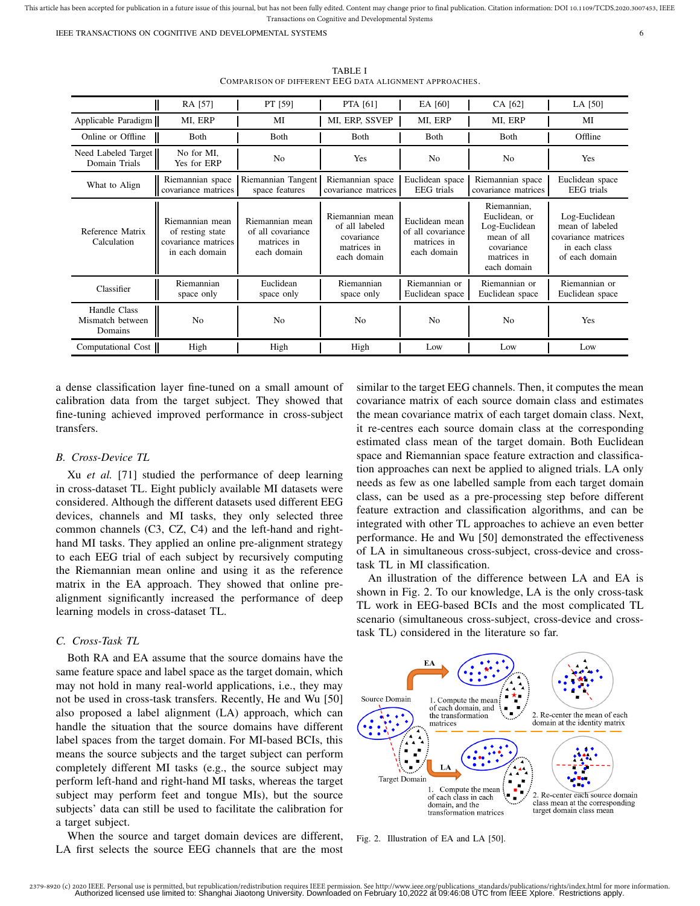IEEE TRANSACTIONS ON COGNITIVE AND DEVELOPMENTAL SYSTEMS 6

|                                             | RA [57]                                                                      | PT [59]                                                            | PTA [61]                                                                      | EA [60]                                                           | CA [62]                                                                                                  | LA [50]                                                                                    |
|---------------------------------------------|------------------------------------------------------------------------------|--------------------------------------------------------------------|-------------------------------------------------------------------------------|-------------------------------------------------------------------|----------------------------------------------------------------------------------------------------------|--------------------------------------------------------------------------------------------|
| Applicable Paradigm                         | MI, ERP                                                                      | MI                                                                 | MI, ERP, SSVEP                                                                | MI, ERP                                                           | MI, ERP                                                                                                  | MI                                                                                         |
| Online or Offline                           | <b>B</b> oth                                                                 | <b>Both</b>                                                        | <b>B</b> oth                                                                  | Both                                                              | Both                                                                                                     | Offline                                                                                    |
| Need Labeled Target<br>Domain Trials        | No for MI,<br>Yes for ERP                                                    | N <sub>0</sub>                                                     | Yes                                                                           | N <sub>o</sub>                                                    | N <sub>0</sub>                                                                                           | Yes                                                                                        |
| What to Align                               | Riemannian space<br>covariance matrices                                      | Riemannian Tangent<br>space features                               | Riemannian space<br>covariance matrices                                       | Euclidean space<br><b>EEG</b> trials                              | Riemannian space<br>covariance matrices                                                                  | Euclidean space<br>EEG trials                                                              |
| Reference Matrix<br>Calculation             | Riemannian mean<br>of resting state<br>covariance matrices<br>in each domain | Riemannian mean<br>of all covariance<br>matrices in<br>each domain | Riemannian mean<br>of all labeled<br>covariance<br>matrices in<br>each domain | Euclidean mean<br>of all covariance<br>matrices in<br>each domain | Riemannian,<br>Euclidean, or<br>Log-Euclidean<br>mean of all<br>covariance<br>matrices in<br>each domain | Log-Euclidean<br>mean of labeled<br>covariance matrices<br>in each class<br>of each domain |
| Classifier                                  | Riemannian<br>space only                                                     | Euclidean<br>space only                                            | Riemannian<br>space only                                                      | Riemannian or<br>Euclidean space                                  | Riemannian or<br>Euclidean space                                                                         | Riemannian or<br>Euclidean space                                                           |
| Handle Class<br>Mismatch between<br>Domains | N <sub>0</sub>                                                               | N <sub>0</sub>                                                     | N <sub>0</sub>                                                                | N <sub>0</sub>                                                    | N <sub>0</sub>                                                                                           | Yes                                                                                        |
| Computational Cost                          | High                                                                         | High                                                               | High                                                                          | Low                                                               | Low                                                                                                      | Low                                                                                        |

TABLE I COMPARISON OF DIFFERENT EEG DATA ALIGNMENT APPROACHES.

a dense classification layer fine-tuned on a small amount of calibration data from the target subject. They showed that fine-tuning achieved improved performance in cross-subject transfers.

# *B. Cross-Device TL*

Xu *et al.* [71] studied the performance of deep learning in cross-dataset TL. Eight publicly available MI datasets were considered. Although the different datasets used different EEG devices, channels and MI tasks, they only selected three common channels (C3, CZ, C4) and the left-hand and righthand MI tasks. They applied an online pre-alignment strategy to each EEG trial of each subject by recursively computing the Riemannian mean online and using it as the reference matrix in the EA approach. They showed that online prealignment significantly increased the performance of deep learning models in cross-dataset TL.

# *C. Cross-Task TL*

Both RA and EA assume that the source domains have the same feature space and label space as the target domain, which may not hold in many real-world applications, i.e., they may not be used in cross-task transfers. Recently, He and Wu [50] also proposed a label alignment (LA) approach, which can handle the situation that the source domains have different label spaces from the target domain. For MI-based BCIs, this means the source subjects and the target subject can perform completely different MI tasks (e.g., the source subject may perform left-hand and right-hand MI tasks, whereas the target subject may perform feet and tongue MIs), but the source subjects' data can still be used to facilitate the calibration for a target subject.

When the source and target domain devices are different, LA first selects the source EEG channels that are the most

similar to the target EEG channels. Then, it computes the mean covariance matrix of each source domain class and estimates the mean covariance matrix of each target domain class. Next, it re-centres each source domain class at the corresponding estimated class mean of the target domain. Both Euclidean space and Riemannian space feature extraction and classification approaches can next be applied to aligned trials. LA only needs as few as one labelled sample from each target domain class, can be used as a pre-processing step before different feature extraction and classification algorithms, and can be integrated with other TL approaches to achieve an even better performance. He and Wu [50] demonstrated the effectiveness of LA in simultaneous cross-subject, cross-device and crosstask TL in MI classification.

An illustration of the difference between LA and EA is shown in Fig. 2. To our knowledge, LA is the only cross-task TL work in EEG-based BCIs and the most complicated TL scenario (simultaneous cross-subject, cross-device and crosstask TL) considered in the literature so far.



Fig. 2. Illustration of EA and LA [50].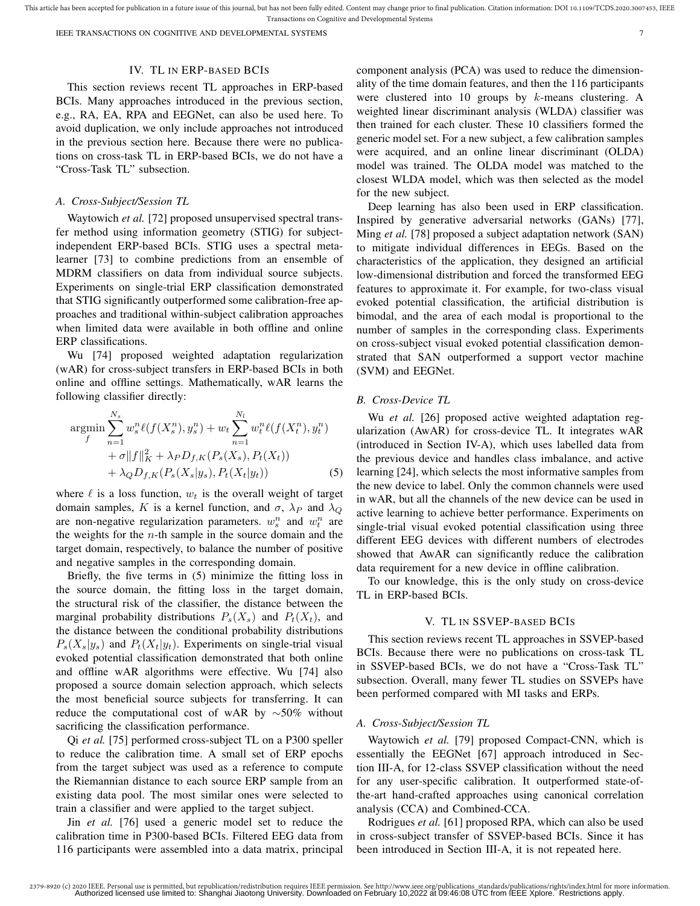IEEE TRANSACTIONS ON COGNITIVE AND DEVELOPMENTAL SYSTEMS 7

#### IV. TL IN ERP-BASED BCIS

This section reviews recent TL approaches in ERP-based BCIs. Many approaches introduced in the previous section, e.g., RA, EA, RPA and EEGNet, can also be used here. To avoid duplication, we only include approaches not introduced in the previous section here. Because there were no publications on cross-task TL in ERP-based BCIs, we do not have a "Cross-Task TL" subsection.

### *A. Cross-Subject/Session TL*

Waytowich *et al.* [72] proposed unsupervised spectral transfer method using information geometry (STIG) for subjectindependent ERP-based BCIs. STIG uses a spectral metalearner [73] to combine predictions from an ensemble of MDRM classifiers on data from individual source subjects. Experiments on single-trial ERP classification demonstrated that STIG significantly outperformed some calibration-free approaches and traditional within-subject calibration approaches when limited data were available in both offline and online ERP classifications.

Wu [74] proposed weighted adaptation regularization (wAR) for cross-subject transfers in ERP-based BCIs in both online and offline settings. Mathematically, wAR learns the following classifier directly:

$$
\underset{f}{\operatorname{argmin}} \sum_{n=1}^{N_s} w_s^n \ell(f(X_s^n), y_s^n) + w_t \sum_{n=1}^{N_l} w_t^n \ell(f(X_t^n), y_t^n) + \sigma \|f\|_K^2 + \lambda_P D_{f,K}(P_s(X_s), P_t(X_t)) + \lambda_Q D_{f,K}(P_s(X_s|y_s), P_t(X_t|y_t)) \tag{5}
$$

where  $\ell$  is a loss function,  $w_t$  is the overall weight of target domain samples, K is a kernel function, and  $\sigma$ ,  $\lambda_P$  and  $\lambda_Q$ are non-negative regularization parameters.  $w_s^n$  and  $w_t^n$  are the weights for the  $n$ -th sample in the source domain and the target domain, respectively, to balance the number of positive and negative samples in the corresponding domain.

Briefly, the five terms in (5) minimize the fitting loss in the source domain, the fitting loss in the target domain, the structural risk of the classifier, the distance between the marginal probability distributions  $P_s(X_s)$  and  $P_t(X_t)$ , and the distance between the conditional probability distributions  $P_s(X_s|y_s)$  and  $P_t(X_t|y_t)$ . Experiments on single-trial visual evoked potential classification demonstrated that both online and offline wAR algorithms were effective. Wu [74] also proposed a source domain selection approach, which selects the most beneficial source subjects for transferring. It can reduce the computational cost of wAR by  $\sim$ 50% without sacrificing the classification performance.

Qi *et al.* [75] performed cross-subject TL on a P300 speller to reduce the calibration time. A small set of ERP epochs from the target subject was used as a reference to compute the Riemannian distance to each source ERP sample from an existing data pool. The most similar ones were selected to train a classifier and were applied to the target subject.

Jin *et al.* [76] used a generic model set to reduce the calibration time in P300-based BCIs. Filtered EEG data from 116 participants were assembled into a data matrix, principal

component analysis (PCA) was used to reduce the dimensionality of the time domain features, and then the 116 participants were clustered into 10 groups by  $k$ -means clustering. A weighted linear discriminant analysis (WLDA) classifier was then trained for each cluster. These 10 classifiers formed the generic model set. For a new subject, a few calibration samples were acquired, and an online linear discriminant (OLDA) model was trained. The OLDA model was matched to the closest WLDA model, which was then selected as the model for the new subject.

Deep learning has also been used in ERP classification. Inspired by generative adversarial networks (GANs) [77], Ming *et al.* [78] proposed a subject adaptation network (SAN) to mitigate individual differences in EEGs. Based on the characteristics of the application, they designed an artificial low-dimensional distribution and forced the transformed EEG features to approximate it. For example, for two-class visual evoked potential classification, the artificial distribution is bimodal, and the area of each modal is proportional to the number of samples in the corresponding class. Experiments on cross-subject visual evoked potential classification demonstrated that SAN outperformed a support vector machine (SVM) and EEGNet.

#### *B. Cross-Device TL*

Wu *et al.* [26] proposed active weighted adaptation regularization (AwAR) for cross-device TL. It integrates wAR (introduced in Section IV-A), which uses labelled data from the previous device and handles class imbalance, and active learning [24], which selects the most informative samples from the new device to label. Only the common channels were used in wAR, but all the channels of the new device can be used in active learning to achieve better performance. Experiments on single-trial visual evoked potential classification using three different EEG devices with different numbers of electrodes showed that AwAR can significantly reduce the calibration data requirement for a new device in offline calibration.

To our knowledge, this is the only study on cross-device TL in ERP-based BCIs.

#### V. TL IN SSVEP-BASED BCIS

This section reviews recent TL approaches in SSVEP-based BCIs. Because there were no publications on cross-task TL in SSVEP-based BCIs, we do not have a "Cross-Task TL" subsection. Overall, many fewer TL studies on SSVEPs have been performed compared with MI tasks and ERPs.

#### *A. Cross-Subject/Session TL*

Waytowich *et al.* [79] proposed Compact-CNN, which is essentially the EEGNet [67] approach introduced in Section III-A, for 12-class SSVEP classification without the need for any user-specific calibration. It outperformed state-ofthe-art hand-crafted approaches using canonical correlation analysis (CCA) and Combined-CCA.

Rodrigues *et al.* [61] proposed RPA, which can also be used in cross-subject transfer of SSVEP-based BCIs. Since it has been introduced in Section III-A, it is not repeated here.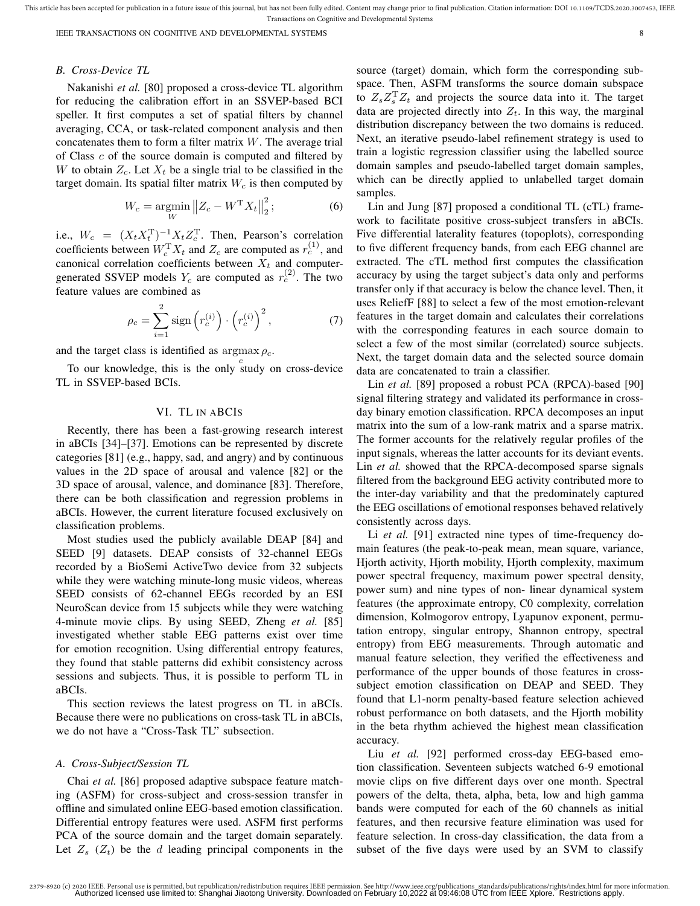IEEE TRANSACTIONS ON COGNITIVE AND DEVELOPMENTAL SYSTEMS 8

# *B. Cross-Device TL*

Nakanishi *et al.* [80] proposed a cross-device TL algorithm for reducing the calibration effort in an SSVEP-based BCI speller. It first computes a set of spatial filters by channel averaging, CCA, or task-related component analysis and then concatenates them to form a filter matrix  $W$ . The average trial of Class  $c$  of the source domain is computed and filtered by W to obtain  $Z_c$ . Let  $X_t$  be a single trial to be classified in the target domain. Its spatial filter matrix  $W_c$  is then computed by

$$
W_c = \underset{W}{\text{argmin}} \|Z_c - W^{\mathrm{T}} X_t\|_2^2; \tag{6}
$$

i.e.,  $W_c = (X_t X_t^{\mathrm{T}})^{-1} X_t Z_c^{\mathrm{T}}$ . Then, Pearson's correlation coefficients between  $W_c^{\mathrm{T}} X_t$  and  $Z_c$  are computed as  $r_c^{(1)}$ , and canonical correlation coefficients between  $X_t$  and computergenerated SSVEP models  $Y_c$  are computed as  $r_c^{(2)}$ . The two feature values are combined as

$$
\rho_c = \sum_{i=1}^2 \text{sign}\left(r_c^{(i)}\right) \cdot \left(r_c^{(i)}\right)^2,\tag{7}
$$

and the target class is identified as  $\argmax \rho_c$ .

To our knowledge, this is the only study on cross-device TL in SSVEP-based BCIs.

# VI. TL IN ABCIS

Recently, there has been a fast-growing research interest in aBCIs [34]–[37]. Emotions can be represented by discrete categories [81] (e.g., happy, sad, and angry) and by continuous values in the 2D space of arousal and valence [82] or the 3D space of arousal, valence, and dominance [83]. Therefore, there can be both classification and regression problems in aBCIs. However, the current literature focused exclusively on classification problems.

Most studies used the publicly available DEAP [84] and SEED [9] datasets. DEAP consists of 32-channel EEGs recorded by a BioSemi ActiveTwo device from 32 subjects while they were watching minute-long music videos, whereas SEED consists of 62-channel EEGs recorded by an ESI NeuroScan device from 15 subjects while they were watching 4-minute movie clips. By using SEED, Zheng *et al.* [85] investigated whether stable EEG patterns exist over time for emotion recognition. Using differential entropy features, they found that stable patterns did exhibit consistency across sessions and subjects. Thus, it is possible to perform TL in aBCIs.

This section reviews the latest progress on TL in aBCIs. Because there were no publications on cross-task TL in aBCIs, we do not have a "Cross-Task TL" subsection.

#### *A. Cross-Subject/Session TL*

Chai *et al.* [86] proposed adaptive subspace feature matching (ASFM) for cross-subject and cross-session transfer in offline and simulated online EEG-based emotion classification. Differential entropy features were used. ASFM first performs PCA of the source domain and the target domain separately. Let  $Z_s$  ( $Z_t$ ) be the d leading principal components in the

source (target) domain, which form the corresponding subspace. Then, ASFM transforms the source domain subspace to  $Z_s Z_s^T Z_t$  and projects the source data into it. The target data are projected directly into  $Z_t$ . In this way, the marginal distribution discrepancy between the two domains is reduced. Next, an iterative pseudo-label refinement strategy is used to train a logistic regression classifier using the labelled source domain samples and pseudo-labelled target domain samples, which can be directly applied to unlabelled target domain samples.

Lin and Jung [87] proposed a conditional TL (cTL) framework to facilitate positive cross-subject transfers in aBCIs. Five differential laterality features (topoplots), corresponding to five different frequency bands, from each EEG channel are extracted. The cTL method first computes the classification accuracy by using the target subject's data only and performs transfer only if that accuracy is below the chance level. Then, it uses ReliefF [88] to select a few of the most emotion-relevant features in the target domain and calculates their correlations with the corresponding features in each source domain to select a few of the most similar (correlated) source subjects. Next, the target domain data and the selected source domain data are concatenated to train a classifier.

Lin *et al.* [89] proposed a robust PCA (RPCA)-based [90] signal filtering strategy and validated its performance in crossday binary emotion classification. RPCA decomposes an input matrix into the sum of a low-rank matrix and a sparse matrix. The former accounts for the relatively regular profiles of the input signals, whereas the latter accounts for its deviant events. Lin *et al.* showed that the RPCA-decomposed sparse signals filtered from the background EEG activity contributed more to the inter-day variability and that the predominately captured the EEG oscillations of emotional responses behaved relatively consistently across days.

Li *et al.* [91] extracted nine types of time-frequency domain features (the peak-to-peak mean, mean square, variance, Hjorth activity, Hjorth mobility, Hjorth complexity, maximum power spectral frequency, maximum power spectral density, power sum) and nine types of non- linear dynamical system features (the approximate entropy, C0 complexity, correlation dimension, Kolmogorov entropy, Lyapunov exponent, permutation entropy, singular entropy, Shannon entropy, spectral entropy) from EEG measurements. Through automatic and manual feature selection, they verified the effectiveness and performance of the upper bounds of those features in crosssubject emotion classification on DEAP and SEED. They found that L1-norm penalty-based feature selection achieved robust performance on both datasets, and the Hjorth mobility in the beta rhythm achieved the highest mean classification accuracy.

Liu *et al.* [92] performed cross-day EEG-based emotion classification. Seventeen subjects watched 6-9 emotional movie clips on five different days over one month. Spectral powers of the delta, theta, alpha, beta, low and high gamma bands were computed for each of the 60 channels as initial features, and then recursive feature elimination was used for feature selection. In cross-day classification, the data from a subset of the five days were used by an SVM to classify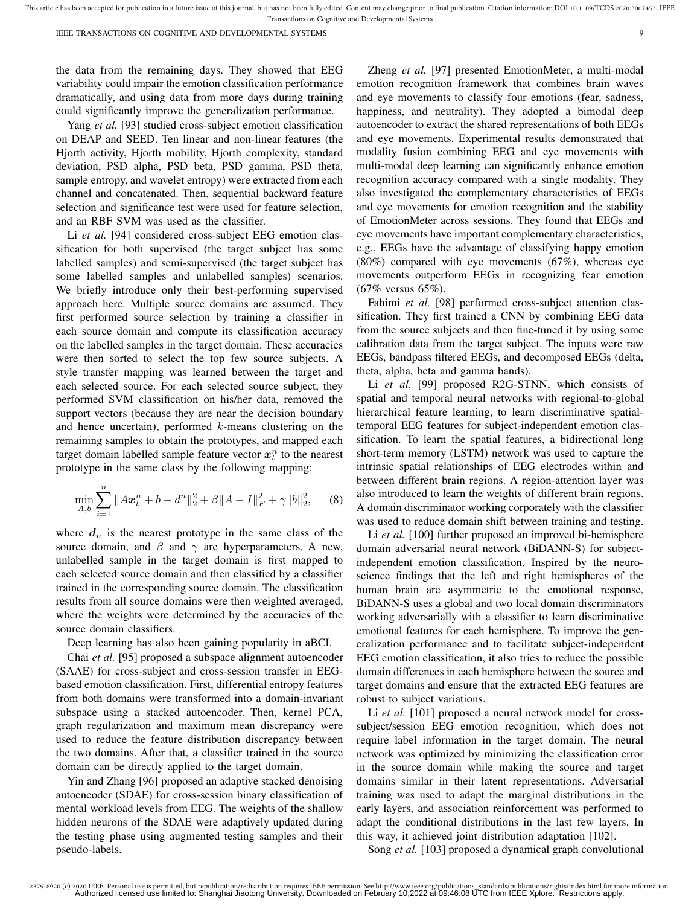the data from the remaining days. They showed that EEG variability could impair the emotion classification performance dramatically, and using data from more days during training could significantly improve the generalization performance.

Yang *et al.* [93] studied cross-subject emotion classification on DEAP and SEED. Ten linear and non-linear features (the Hjorth activity, Hjorth mobility, Hjorth complexity, standard deviation, PSD alpha, PSD beta, PSD gamma, PSD theta, sample entropy, and wavelet entropy) were extracted from each channel and concatenated. Then, sequential backward feature selection and significance test were used for feature selection, and an RBF SVM was used as the classifier.

Li *et al.* [94] considered cross-subject EEG emotion classification for both supervised (the target subject has some labelled samples) and semi-supervised (the target subject has some labelled samples and unlabelled samples) scenarios. We briefly introduce only their best-performing supervised approach here. Multiple source domains are assumed. They first performed source selection by training a classifier in each source domain and compute its classification accuracy on the labelled samples in the target domain. These accuracies were then sorted to select the top few source subjects. A style transfer mapping was learned between the target and each selected source. For each selected source subject, they performed SVM classification on his/her data, removed the support vectors (because they are near the decision boundary and hence uncertain), performed  $k$ -means clustering on the remaining samples to obtain the prototypes, and mapped each target domain labelled sample feature vector  $x_t^n$  to the nearest prototype in the same class by the following mapping:

$$
\min_{A,b} \sum_{i=1}^{n} \|A\boldsymbol{x}_{t}^{n} + b - d^{n}\|_{2}^{2} + \beta \|A - I\|_{F}^{2} + \gamma \|b\|_{2}^{2}, \qquad (8)
$$

where  $d_n$  is the nearest prototype in the same class of the source domain, and  $\beta$  and  $\gamma$  are hyperparameters. A new, unlabelled sample in the target domain is first mapped to each selected source domain and then classified by a classifier trained in the corresponding source domain. The classification results from all source domains were then weighted averaged, where the weights were determined by the accuracies of the source domain classifiers.

Deep learning has also been gaining popularity in aBCI.

Chai *et al.* [95] proposed a subspace alignment autoencoder (SAAE) for cross-subject and cross-session transfer in EEGbased emotion classification. First, differential entropy features from both domains were transformed into a domain-invariant subspace using a stacked autoencoder. Then, kernel PCA, graph regularization and maximum mean discrepancy were used to reduce the feature distribution discrepancy between the two domains. After that, a classifier trained in the source domain can be directly applied to the target domain.

Yin and Zhang [96] proposed an adaptive stacked denoising autoencoder (SDAE) for cross-session binary classification of mental workload levels from EEG. The weights of the shallow hidden neurons of the SDAE were adaptively updated during the testing phase using augmented testing samples and their pseudo-labels.

Zheng *et al.* [97] presented EmotionMeter, a multi-modal emotion recognition framework that combines brain waves and eye movements to classify four emotions (fear, sadness, happiness, and neutrality). They adopted a bimodal deep autoencoder to extract the shared representations of both EEGs and eye movements. Experimental results demonstrated that modality fusion combining EEG and eye movements with multi-modal deep learning can significantly enhance emotion recognition accuracy compared with a single modality. They also investigated the complementary characteristics of EEGs and eye movements for emotion recognition and the stability of EmotionMeter across sessions. They found that EEGs and eye movements have important complementary characteristics, e.g., EEGs have the advantage of classifying happy emotion (80%) compared with eye movements (67%), whereas eye movements outperform EEGs in recognizing fear emotion (67% versus 65%).

Fahimi et al. [98] performed cross-subject attention classification. They first trained a CNN by combining EEG data from the source subjects and then fine-tuned it by using some calibration data from the target subject. The inputs were raw EEGs, bandpass filtered EEGs, and decomposed EEGs (delta, theta, alpha, beta and gamma bands).

Li *et al.* [99] proposed R2G-STNN, which consists of spatial and temporal neural networks with regional-to-global hierarchical feature learning, to learn discriminative spatialtemporal EEG features for subject-independent emotion classification. To learn the spatial features, a bidirectional long short-term memory (LSTM) network was used to capture the intrinsic spatial relationships of EEG electrodes within and between different brain regions. A region-attention layer was also introduced to learn the weights of different brain regions. A domain discriminator working corporately with the classifier was used to reduce domain shift between training and testing.

Li *et al.* [100] further proposed an improved bi-hemisphere domain adversarial neural network (BiDANN-S) for subjectindependent emotion classification. Inspired by the neuroscience findings that the left and right hemispheres of the human brain are asymmetric to the emotional response, BiDANN-S uses a global and two local domain discriminators working adversarially with a classifier to learn discriminative emotional features for each hemisphere. To improve the generalization performance and to facilitate subject-independent EEG emotion classification, it also tries to reduce the possible domain differences in each hemisphere between the source and target domains and ensure that the extracted EEG features are robust to subject variations.

Li *et al.* [101] proposed a neural network model for crosssubject/session EEG emotion recognition, which does not require label information in the target domain. The neural network was optimized by minimizing the classification error in the source domain while making the source and target domains similar in their latent representations. Adversarial training was used to adapt the marginal distributions in the early layers, and association reinforcement was performed to adapt the conditional distributions in the last few layers. In this way, it achieved joint distribution adaptation [102].

Song *et al.* [103] proposed a dynamical graph convolutional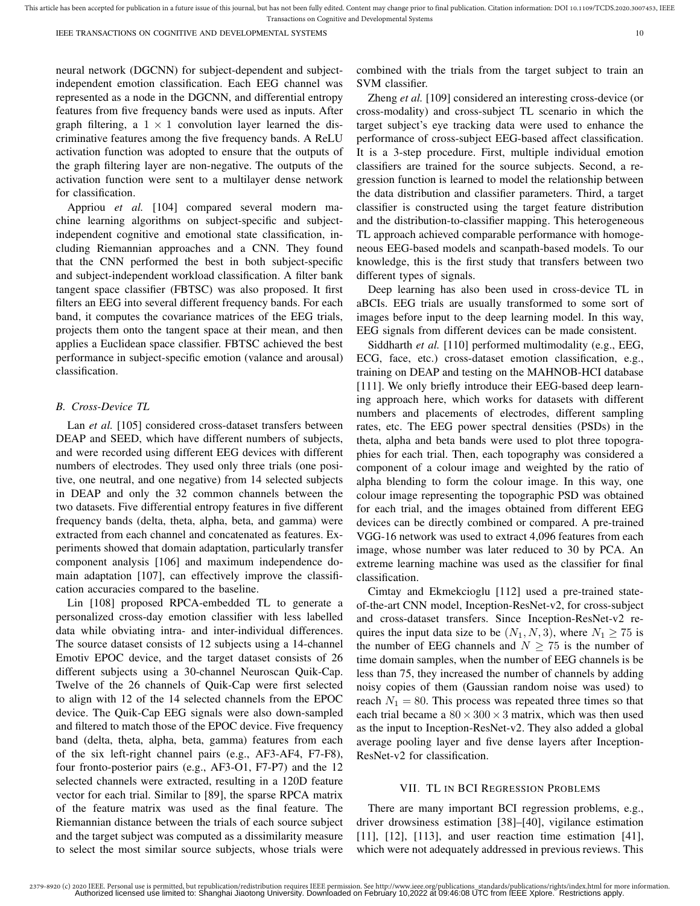neural network (DGCNN) for subject-dependent and subjectindependent emotion classification. Each EEG channel was represented as a node in the DGCNN, and differential entropy features from five frequency bands were used as inputs. After graph filtering, a  $1 \times 1$  convolution layer learned the discriminative features among the five frequency bands. A ReLU activation function was adopted to ensure that the outputs of the graph filtering layer are non-negative. The outputs of the activation function were sent to a multilayer dense network for classification.

Appriou *et al.* [104] compared several modern machine learning algorithms on subject-specific and subjectindependent cognitive and emotional state classification, including Riemannian approaches and a CNN. They found that the CNN performed the best in both subject-specific and subject-independent workload classification. A filter bank tangent space classifier (FBTSC) was also proposed. It first filters an EEG into several different frequency bands. For each band, it computes the covariance matrices of the EEG trials, projects them onto the tangent space at their mean, and then applies a Euclidean space classifier. FBTSC achieved the best performance in subject-specific emotion (valance and arousal) classification.

#### *B. Cross-Device TL*

Lan *et al.* [105] considered cross-dataset transfers between DEAP and SEED, which have different numbers of subjects, and were recorded using different EEG devices with different numbers of electrodes. They used only three trials (one positive, one neutral, and one negative) from 14 selected subjects in DEAP and only the 32 common channels between the two datasets. Five differential entropy features in five different frequency bands (delta, theta, alpha, beta, and gamma) were extracted from each channel and concatenated as features. Experiments showed that domain adaptation, particularly transfer component analysis [106] and maximum independence domain adaptation [107], can effectively improve the classification accuracies compared to the baseline.

Lin [108] proposed RPCA-embedded TL to generate a personalized cross-day emotion classifier with less labelled data while obviating intra- and inter-individual differences. The source dataset consists of 12 subjects using a 14-channel Emotiv EPOC device, and the target dataset consists of 26 different subjects using a 30-channel Neuroscan Quik-Cap. Twelve of the 26 channels of Quik-Cap were first selected to align with 12 of the 14 selected channels from the EPOC device. The Quik-Cap EEG signals were also down-sampled and filtered to match those of the EPOC device. Five frequency band (delta, theta, alpha, beta, gamma) features from each of the six left-right channel pairs (e.g., AF3-AF4, F7-F8), four fronto-posterior pairs (e.g., AF3-O1, F7-P7) and the 12 selected channels were extracted, resulting in a 120D feature vector for each trial. Similar to [89], the sparse RPCA matrix of the feature matrix was used as the final feature. The Riemannian distance between the trials of each source subject and the target subject was computed as a dissimilarity measure to select the most similar source subjects, whose trials were

combined with the trials from the target subject to train an SVM classifier.

Zheng *et al.* [109] considered an interesting cross-device (or cross-modality) and cross-subject TL scenario in which the target subject's eye tracking data were used to enhance the performance of cross-subject EEG-based affect classification. It is a 3-step procedure. First, multiple individual emotion classifiers are trained for the source subjects. Second, a regression function is learned to model the relationship between the data distribution and classifier parameters. Third, a target classifier is constructed using the target feature distribution and the distribution-to-classifier mapping. This heterogeneous TL approach achieved comparable performance with homogeneous EEG-based models and scanpath-based models. To our knowledge, this is the first study that transfers between two different types of signals.

Deep learning has also been used in cross-device TL in aBCIs. EEG trials are usually transformed to some sort of images before input to the deep learning model. In this way, EEG signals from different devices can be made consistent.

Siddharth et al. [110] performed multimodality (e.g., EEG, ECG, face, etc.) cross-dataset emotion classification, e.g., training on DEAP and testing on the MAHNOB-HCI database [111]. We only briefly introduce their EEG-based deep learning approach here, which works for datasets with different numbers and placements of electrodes, different sampling rates, etc. The EEG power spectral densities (PSDs) in the theta, alpha and beta bands were used to plot three topographies for each trial. Then, each topography was considered a component of a colour image and weighted by the ratio of alpha blending to form the colour image. In this way, one colour image representing the topographic PSD was obtained for each trial, and the images obtained from different EEG devices can be directly combined or compared. A pre-trained VGG-16 network was used to extract 4,096 features from each image, whose number was later reduced to 30 by PCA. An extreme learning machine was used as the classifier for final classification.

Cimtay and Ekmekcioglu [112] used a pre-trained stateof-the-art CNN model, Inception-ResNet-v2, for cross-subject and cross-dataset transfers. Since Inception-ResNet-v2 requires the input data size to be  $(N_1, N, 3)$ , where  $N_1 \ge 75$  is the number of EEG channels and  $N \geq 75$  is the number of time domain samples, when the number of EEG channels is be less than 75, they increased the number of channels by adding noisy copies of them (Gaussian random noise was used) to reach  $N_1 = 80$ . This process was repeated three times so that each trial became a  $80 \times 300 \times 3$  matrix, which was then used as the input to Inception-ResNet-v2. They also added a global average pooling layer and five dense layers after Inception-ResNet-v2 for classification.

#### VII. TL IN BCI REGRESSION PROBLEMS

There are many important BCI regression problems, e.g., driver drowsiness estimation [38]–[40], vigilance estimation [11], [12], [113], and user reaction time estimation [41], which were not adequately addressed in previous reviews. This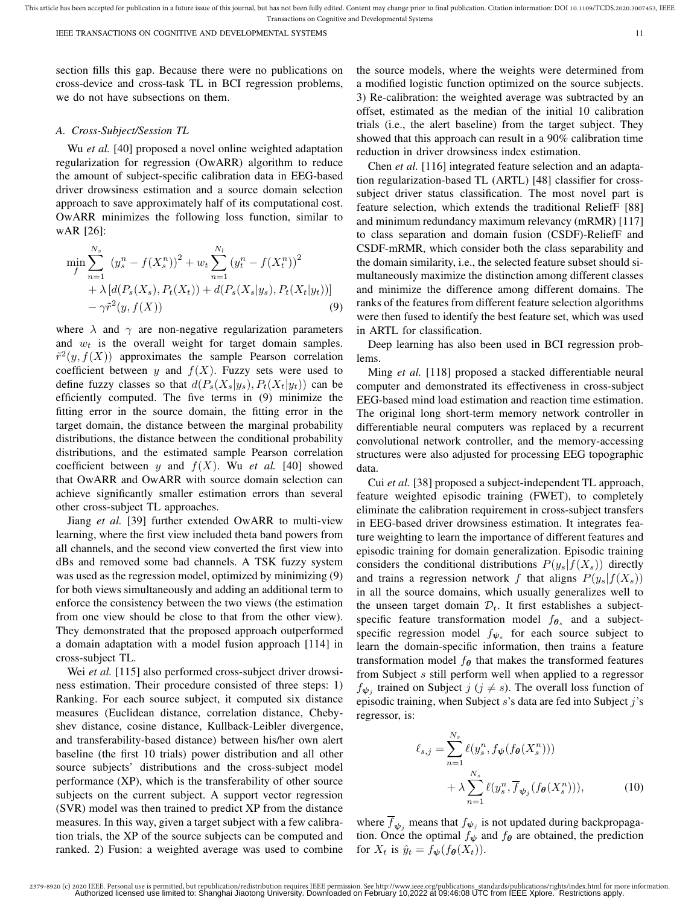section fills this gap. Because there were no publications on cross-device and cross-task TL in BCI regression problems, we do not have subsections on them.

# *A. Cross-Subject/Session TL*

Wu *et al.* [40] proposed a novel online weighted adaptation regularization for regression (OwARR) algorithm to reduce the amount of subject-specific calibration data in EEG-based driver drowsiness estimation and a source domain selection approach to save approximately half of its computational cost. OwARR minimizes the following loss function, similar to wAR [26]:

$$
\min_{f} \sum_{n=1}^{N_s} (y_s^n - f(X_s^n))^2 + w_t \sum_{n=1}^{N_l} (y_t^n - f(X_t^n))^2 + \lambda [d(P_s(X_s), P_t(X_t)) + d(P_s(X_s|y_s), P_t(X_t|y_t))] -\gamma \tilde{r}^2(y, f(X))
$$
(9)

where  $\lambda$  and  $\gamma$  are non-negative regularization parameters and  $w_t$  is the overall weight for target domain samples.  $\tilde{r}^2(y, f(X))$  approximates the sample Pearson correlation coefficient between y and  $f(X)$ . Fuzzy sets were used to define fuzzy classes so that  $d(P_s(X_s|y_s), P_t(X_t|y_t))$  can be efficiently computed. The five terms in (9) minimize the fitting error in the source domain, the fitting error in the target domain, the distance between the marginal probability distributions, the distance between the conditional probability distributions, and the estimated sample Pearson correlation coefficient between y and  $f(X)$ . Wu *et al.* [40] showed that OwARR and OwARR with source domain selection can achieve significantly smaller estimation errors than several other cross-subject TL approaches.

Jiang *et al.* [39] further extended OwARR to multi-view learning, where the first view included theta band powers from all channels, and the second view converted the first view into dBs and removed some bad channels. A TSK fuzzy system was used as the regression model, optimized by minimizing (9) for both views simultaneously and adding an additional term to enforce the consistency between the two views (the estimation from one view should be close to that from the other view). They demonstrated that the proposed approach outperformed a domain adaptation with a model fusion approach [114] in cross-subject TL.

Wei *et al.* [115] also performed cross-subject driver drowsiness estimation. Their procedure consisted of three steps: 1) Ranking. For each source subject, it computed six distance measures (Euclidean distance, correlation distance, Chebyshev distance, cosine distance, Kullback-Leibler divergence, and transferability-based distance) between his/her own alert baseline (the first 10 trials) power distribution and all other source subjects' distributions and the cross-subject model performance (XP), which is the transferability of other source subjects on the current subject. A support vector regression (SVR) model was then trained to predict XP from the distance measures. In this way, given a target subject with a few calibration trials, the XP of the source subjects can be computed and ranked. 2) Fusion: a weighted average was used to combine the source models, where the weights were determined from a modified logistic function optimized on the source subjects. 3) Re-calibration: the weighted average was subtracted by an offset, estimated as the median of the initial 10 calibration trials (i.e., the alert baseline) from the target subject. They showed that this approach can result in a 90% calibration time reduction in driver drowsiness index estimation.

Chen *et al.* [116] integrated feature selection and an adaptation regularization-based TL (ARTL) [48] classifier for crosssubject driver status classification. The most novel part is feature selection, which extends the traditional ReliefF [88] and minimum redundancy maximum relevancy (mRMR) [117] to class separation and domain fusion (CSDF)-ReliefF and CSDF-mRMR, which consider both the class separability and the domain similarity, i.e., the selected feature subset should simultaneously maximize the distinction among different classes and minimize the difference among different domains. The ranks of the features from different feature selection algorithms were then fused to identify the best feature set, which was used in ARTL for classification.

Deep learning has also been used in BCI regression problems.

Ming *et al.* [118] proposed a stacked differentiable neural computer and demonstrated its effectiveness in cross-subject EEG-based mind load estimation and reaction time estimation. The original long short-term memory network controller in differentiable neural computers was replaced by a recurrent convolutional network controller, and the memory-accessing structures were also adjusted for processing EEG topographic data.

Cui *et al.* [38] proposed a subject-independent TL approach, feature weighted episodic training (FWET), to completely eliminate the calibration requirement in cross-subject transfers in EEG-based driver drowsiness estimation. It integrates feature weighting to learn the importance of different features and episodic training for domain generalization. Episodic training considers the conditional distributions  $P(y_s|f(X_s))$  directly and trains a regression network f that aligns  $P(y_s|f(X_s))$ in all the source domains, which usually generalizes well to the unseen target domain  $\mathcal{D}_t$ . It first establishes a subjectspecific feature transformation model  $f_{\theta_s}$  and a subjectspecific regression model  $f_{\psi_s}$  for each source subject to learn the domain-specific information, then trains a feature transformation model  $f_{\theta}$  that makes the transformed features from Subject s still perform well when applied to a regressor  $f_{\psi_j}$  trained on Subject  $j$  ( $j \neq s$ ). The overall loss function of episodic training, when Subject  $s$ 's data are fed into Subject  $j$ 's regressor, is:

$$
\ell_{s,j} = \sum_{n=1}^{N_s} \ell(y_s^n, f_{\boldsymbol{\psi}}(f_{\boldsymbol{\theta}}(X_s^n))) + \lambda \sum_{n=1}^{N_s} \ell(y_s^n, \overline{f}_{\boldsymbol{\psi}_j}(f_{\boldsymbol{\theta}}(X_s^n))),
$$
 (10)

where  $f_{\psi_j}$  means that  $f_{\psi_j}$  is not updated during backpropagation. Once the optimal  $f_{\psi}$  and  $f_{\theta}$  are obtained, the prediction for  $X_t$  is  $\hat{y}_t = f_{\psi}(f_{\theta}(X_t)).$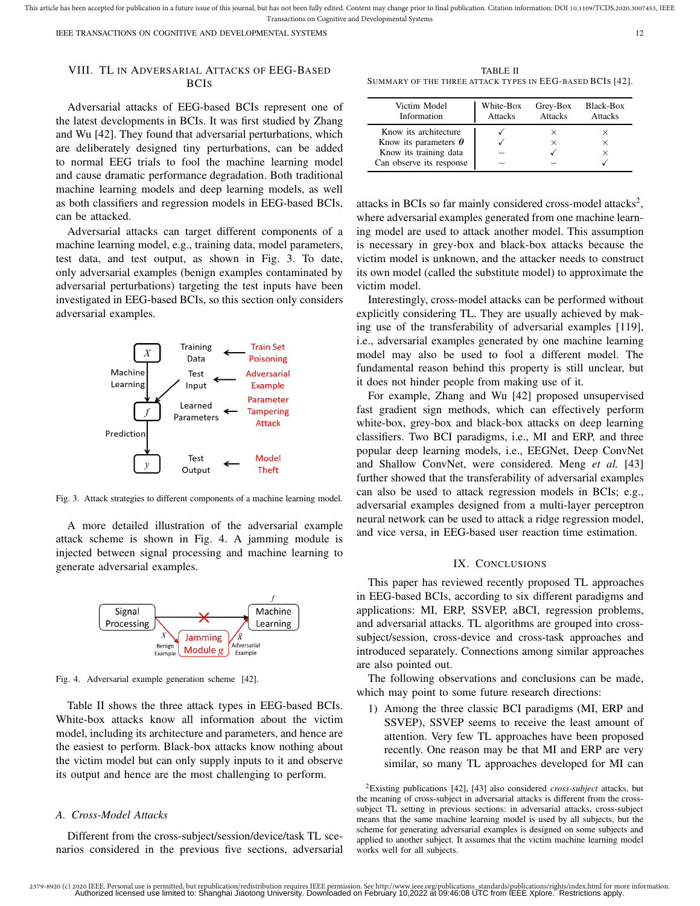IEEE TRANSACTIONS ON COGNITIVE AND DEVELOPMENTAL SYSTEMS 12

# VIII. TL IN ADVERSARIAL ATTACKS OF EEG-BASED **BCIS**

Adversarial attacks of EEG-based BCIs represent one of the latest developments in BCIs. It was first studied by Zhang and Wu [42]. They found that adversarial perturbations, which are deliberately designed tiny perturbations, can be added to normal EEG trials to fool the machine learning model and cause dramatic performance degradation. Both traditional machine learning models and deep learning models, as well as both classifiers and regression models in EEG-based BCIs, can be attacked.

Adversarial attacks can target different components of a machine learning model, e.g., training data, model parameters, test data, and test output, as shown in Fig. 3. To date, only adversarial examples (benign examples contaminated by adversarial perturbations) targeting the test inputs have been investigated in EEG-based BCIs, so this section only considers adversarial examples.



Fig. 3. Attack strategies to different components of a machine learning model.

A more detailed illustration of the adversarial example attack scheme is shown in Fig. 4. A jamming module is injected between signal processing and machine learning to generate adversarial examples.



Fig. 4. Adversarial example generation scheme [42].

Table II shows the three attack types in EEG-based BCIs. White-box attacks know all information about the victim model, including its architecture and parameters, and hence are the easiest to perform. Black-box attacks know nothing about the victim model but can only supply inputs to it and observe its output and hence are the most challenging to perform.

#### *A. Cross-Model Attacks*

Different from the cross-subject/session/device/task TL scenarios considered in the previous five sections, adversarial

TABLE II SUMMARY OF THE THREE ATTACK TYPES IN EEG-BASED BCIS [42].

| Victim Model<br>Information  | White-Box<br><b>Attacks</b> | Grey-Box<br><b>Attacks</b> | Black-Box<br>Attacks |
|------------------------------|-----------------------------|----------------------------|----------------------|
| Know its architecture        |                             | $\times$                   |                      |
| Know its parameters $\theta$ |                             | $\times$                   | $\times$             |
| Know its training data       |                             |                            | $\times$             |
| Can observe its response     |                             |                            |                      |

attacks in BCIs so far mainly considered cross-model attacks<sup>2</sup>, where adversarial examples generated from one machine learning model are used to attack another model. This assumption is necessary in grey-box and black-box attacks because the victim model is unknown, and the attacker needs to construct its own model (called the substitute model) to approximate the victim model.

Interestingly, cross-model attacks can be performed without explicitly considering TL. They are usually achieved by making use of the transferability of adversarial examples [119], i.e., adversarial examples generated by one machine learning model may also be used to fool a different model. The fundamental reason behind this property is still unclear, but it does not hinder people from making use of it.

For example, Zhang and Wu [42] proposed unsupervised fast gradient sign methods, which can effectively perform white-box, grey-box and black-box attacks on deep learning classifiers. Two BCI paradigms, i.e., MI and ERP, and three popular deep learning models, i.e., EEGNet, Deep ConvNet and Shallow ConvNet, were considered. Meng *et al.* [43] further showed that the transferability of adversarial examples can also be used to attack regression models in BCIs; e.g., adversarial examples designed from a multi-layer perceptron neural network can be used to attack a ridge regression model, and vice versa, in EEG-based user reaction time estimation.

### IX. CONCLUSIONS

This paper has reviewed recently proposed TL approaches in EEG-based BCIs, according to six different paradigms and applications: MI, ERP, SSVEP, aBCI, regression problems, and adversarial attacks. TL algorithms are grouped into crosssubject/session, cross-device and cross-task approaches and introduced separately. Connections among similar approaches are also pointed out.

The following observations and conclusions can be made, which may point to some future research directions:

1) Among the three classic BCI paradigms (MI, ERP and SSVEP), SSVEP seems to receive the least amount of attention. Very few TL approaches have been proposed recently. One reason may be that MI and ERP are very similar, so many TL approaches developed for MI can

<sup>2</sup>Existing publications [42], [43] also considered *cross-subject* attacks, but the meaning of cross-subject in adversarial attacks is different from the crosssubject TL setting in previous sections: in adversarial attacks, cross-subject means that the same machine learning model is used by all subjects, but the scheme for generating adversarial examples is designed on some subjects and applied to another subject. It assumes that the victim machine learning model works well for all subjects.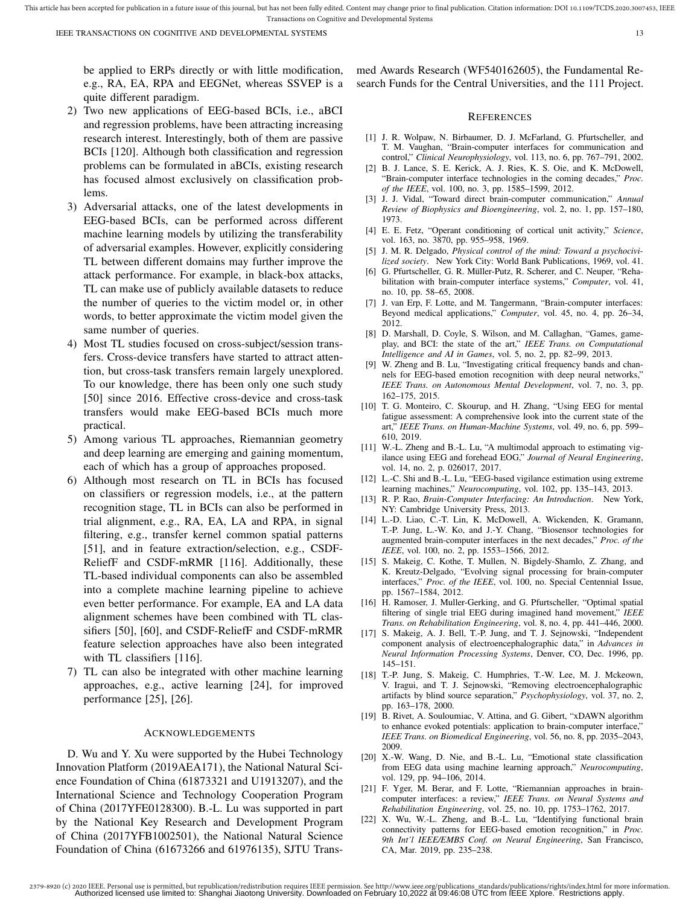be applied to ERPs directly or with little modification, e.g., RA, EA, RPA and EEGNet, whereas SSVEP is a quite different paradigm.

- 2) Two new applications of EEG-based BCIs, i.e., aBCI and regression problems, have been attracting increasing research interest. Interestingly, both of them are passive BCIs [120]. Although both classification and regression problems can be formulated in aBCIs, existing research has focused almost exclusively on classification problems.
- 3) Adversarial attacks, one of the latest developments in EEG-based BCIs, can be performed across different machine learning models by utilizing the transferability of adversarial examples. However, explicitly considering TL between different domains may further improve the attack performance. For example, in black-box attacks, TL can make use of publicly available datasets to reduce the number of queries to the victim model or, in other words, to better approximate the victim model given the same number of queries.
- 4) Most TL studies focused on cross-subject/session transfers. Cross-device transfers have started to attract attention, but cross-task transfers remain largely unexplored. To our knowledge, there has been only one such study [50] since 2016. Effective cross-device and cross-task transfers would make EEG-based BCIs much more practical.
- 5) Among various TL approaches, Riemannian geometry and deep learning are emerging and gaining momentum, each of which has a group of approaches proposed.
- 6) Although most research on TL in BCIs has focused on classifiers or regression models, i.e., at the pattern recognition stage, TL in BCIs can also be performed in trial alignment, e.g., RA, EA, LA and RPA, in signal filtering, e.g., transfer kernel common spatial patterns [51], and in feature extraction/selection, e.g., CSDF-ReliefF and CSDF-mRMR [116]. Additionally, these TL-based individual components can also be assembled into a complete machine learning pipeline to achieve even better performance. For example, EA and LA data alignment schemes have been combined with TL classifiers [50], [60], and CSDF-ReliefF and CSDF-mRMR feature selection approaches have also been integrated with TL classifiers [116].
- 7) TL can also be integrated with other machine learning approaches, e.g., active learning [24], for improved performance [25], [26].

#### ACKNOWLEDGEMENTS

D. Wu and Y. Xu were supported by the Hubei Technology Innovation Platform (2019AEA171), the National Natural Science Foundation of China (61873321 and U1913207), and the International Science and Technology Cooperation Program of China (2017YFE0128300). B.-L. Lu was supported in part by the National Key Research and Development Program of China (2017YFB1002501), the National Natural Science Foundation of China (61673266 and 61976135), SJTU Transmed Awards Research (WF540162605), the Fundamental Research Funds for the Central Universities, and the 111 Project.

#### **REFERENCES**

- [1] J. R. Wolpaw, N. Birbaumer, D. J. McFarland, G. Pfurtscheller, and T. M. Vaughan, "Brain-computer interfaces for communication and control," *Clinical Neurophysiology*, vol. 113, no. 6, pp. 767–791, 2002.
- [2] B. J. Lance, S. E. Kerick, A. J. Ries, K. S. Oie, and K. McDowell, "Brain-computer interface technologies in the coming decades," *Proc. of the IEEE*, vol. 100, no. 3, pp. 1585–1599, 2012.
- [3] J. J. Vidal, "Toward direct brain-computer communication," *Annual Review of Biophysics and Bioengineering*, vol. 2, no. 1, pp. 157–180, 1973.
- [4] E. E. Fetz, "Operant conditioning of cortical unit activity," *Science*, vol. 163, no. 3870, pp. 955–958, 1969.
- [5] J. M. R. Delgado, *Physical control of the mind: Toward a psychocivilized society*. New York City: World Bank Publications, 1969, vol. 41.
- G. Pfurtscheller, G. R. Müller-Putz, R. Scherer, and C. Neuper, "Rehabilitation with brain-computer interface systems," *Computer*, vol. 41, no. 10, pp. 58–65, 2008.
- [7] J. van Erp, F. Lotte, and M. Tangermann, "Brain-computer interfaces: Beyond medical applications," *Computer*, vol. 45, no. 4, pp. 26–34, 2012.
- [8] D. Marshall, D. Coyle, S. Wilson, and M. Callaghan, "Games, gameplay, and BCI: the state of the art," *IEEE Trans. on Computational Intelligence and AI in Games*, vol. 5, no. 2, pp. 82–99, 2013.
- [9] W. Zheng and B. Lu, "Investigating critical frequency bands and channels for EEG-based emotion recognition with deep neural networks," *IEEE Trans. on Autonomous Mental Development*, vol. 7, no. 3, pp. 162–175, 2015.
- [10] T. G. Monteiro, C. Skourup, and H. Zhang, "Using EEG for mental fatigue assessment: A comprehensive look into the current state of the art," *IEEE Trans. on Human-Machine Systems*, vol. 49, no. 6, pp. 599– 610, 2019.
- [11] W.-L. Zheng and B.-L. Lu, "A multimodal approach to estimating vigilance using EEG and forehead EOG," *Journal of Neural Engineering*, vol. 14, no. 2, p. 026017, 2017.
- [12] L.-C. Shi and B.-L. Lu, "EEG-based vigilance estimation using extreme learning machines," *Neurocomputing*, vol. 102, pp. 135–143, 2013.
- [13] R. P. Rao, *Brain-Computer Interfacing: An Introduction*. New York, NY: Cambridge University Press, 2013.
- [14] L.-D. Liao, C.-T. Lin, K. McDowell, A. Wickenden, K. Gramann, T.-P. Jung, L.-W. Ko, and J.-Y. Chang, "Biosensor technologies for augmented brain-computer interfaces in the next decades," *Proc. of the IEEE*, vol. 100, no. 2, pp. 1553–1566, 2012.
- [15] S. Makeig, C. Kothe, T. Mullen, N. Bigdely-Shamlo, Z. Zhang, and K. Kreutz-Delgado, "Evolving signal processing for brain-computer interfaces," *Proc. of the IEEE*, vol. 100, no. Special Centennial Issue, pp. 1567–1584, 2012.
- [16] H. Ramoser, J. Muller-Gerking, and G. Pfurtscheller, "Optimal spatial filtering of single trial EEG during imagined hand movement," *IEEE Trans. on Rehabilitation Engineering*, vol. 8, no. 4, pp. 441–446, 2000.
- [17] S. Makeig, A. J. Bell, T.-P. Jung, and T. J. Sejnowski, "Independent component analysis of electroencephalographic data," in *Advances in Neural Information Processing Systems*, Denver, CO, Dec. 1996, pp. 145–151.
- [18] T.-P. Jung, S. Makeig, C. Humphries, T.-W. Lee, M. J. Mckeown, V. Iragui, and T. J. Sejnowski, "Removing electroencephalographic artifacts by blind source separation," *Psychophysiology*, vol. 37, no. 2, pp. 163–178, 2000.
- [19] B. Rivet, A. Souloumiac, V. Attina, and G. Gibert, "xDAWN algorithm" to enhance evoked potentials: application to brain-computer interface," *IEEE Trans. on Biomedical Engineering*, vol. 56, no. 8, pp. 2035–2043, 2009.
- [20] X.-W. Wang, D. Nie, and B.-L. Lu, "Emotional state classification from EEG data using machine learning approach," *Neurocomputing*, vol. 129, pp. 94–106, 2014.
- [21] F. Yger, M. Berar, and F. Lotte, "Riemannian approaches in braincomputer interfaces: a review," *IEEE Trans. on Neural Systems and Rehabilitation Engineering*, vol. 25, no. 10, pp. 1753–1762, 2017.
- [22] X. Wu, W.-L. Zheng, and B.-L. Lu, "Identifying functional brain connectivity patterns for EEG-based emotion recognition," in *Proc. 9th Int'l IEEE/EMBS Conf. on Neural Engineering*, San Francisco, CA, Mar. 2019, pp. 235–238.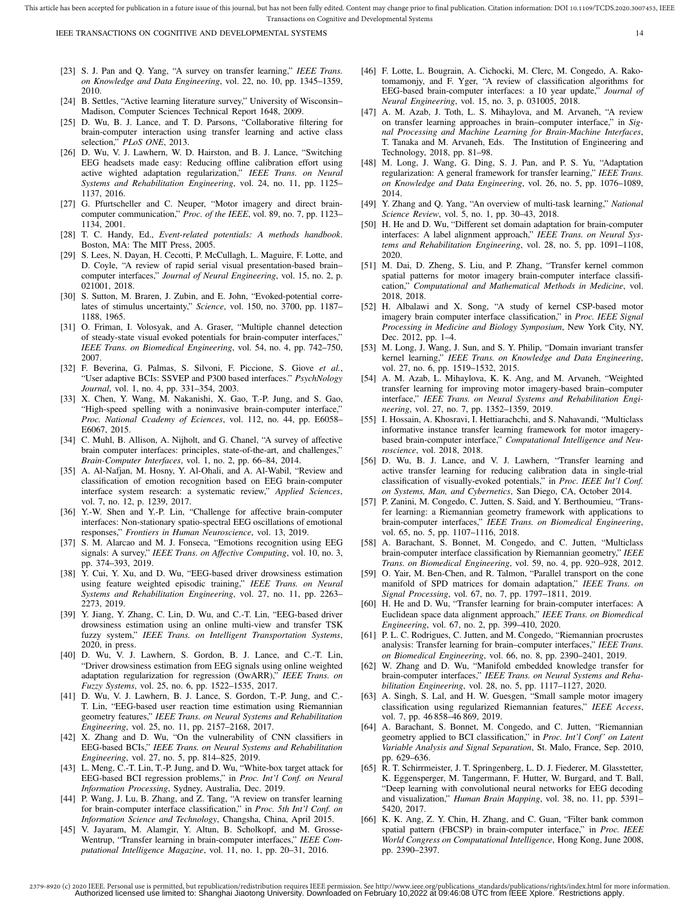- [23] S. J. Pan and Q. Yang, "A survey on transfer learning," *IEEE Trans. on Knowledge and Data Engineering*, vol. 22, no. 10, pp. 1345–1359, 2010.
- [24] B. Settles, "Active learning literature survey," University of Wisconsin-Madison, Computer Sciences Technical Report 1648, 2009.
- [25] D. Wu, B. J. Lance, and T. D. Parsons, "Collaborative filtering for brain-computer interaction using transfer learning and active class selection," *PLoS ONE*, 2013.
- [26] D. Wu, V. J. Lawhern, W. D. Hairston, and B. J. Lance, "Switching EEG headsets made easy: Reducing offline calibration effort using active wighted adaptation regularization," *IEEE Trans. on Neural Systems and Rehabilitation Engineering*, vol. 24, no. 11, pp. 1125– 1137, 2016.
- [27] G. Pfurtscheller and C. Neuper, "Motor imagery and direct braincomputer communication," *Proc. of the IEEE*, vol. 89, no. 7, pp. 1123– 1134, 2001.
- [28] T. C. Handy, Ed., *Event-related potentials: A methods handbook*. Boston, MA: The MIT Press, 2005.
- [29] S. Lees, N. Dayan, H. Cecotti, P. McCullagh, L. Maguire, F. Lotte, and D. Coyle, "A review of rapid serial visual presentation-based brain– computer interfaces," *Journal of Neural Engineering*, vol. 15, no. 2, p. 021001, 2018.
- [30] S. Sutton, M. Braren, J. Zubin, and E. John, "Evoked-potential correlates of stimulus uncertainty," *Science*, vol. 150, no. 3700, pp. 1187– 1188, 1965.
- [31] O. Friman, I. Volosyak, and A. Graser, "Multiple channel detection of steady-state visual evoked potentials for brain-computer interfaces, *IEEE Trans. on Biomedical Engineering*, vol. 54, no. 4, pp. 742–750, 2007.
- [32] F. Beverina, G. Palmas, S. Silvoni, F. Piccione, S. Giove *et al.*, "User adaptive BCIs: SSVEP and P300 based interfaces." *PsychNology Journal*, vol. 1, no. 4, pp. 331–354, 2003.
- [33] X. Chen, Y. Wang, M. Nakanishi, X. Gao, T.-P. Jung, and S. Gao, "High-speed spelling with a noninvasive brain-computer interface," *Proc. National Ccademy of Eciences*, vol. 112, no. 44, pp. E6058– E6067, 2015.
- [34] C. Muhl, B. Allison, A. Nijholt, and G. Chanel, "A survey of affective brain computer interfaces: principles, state-of-the-art, and challenges," *Brain-Computer Interfaces*, vol. 1, no. 2, pp. 66–84, 2014.
- [35] A. Al-Nafjan, M. Hosny, Y. Al-Ohali, and A. Al-Wabil, "Review and classification of emotion recognition based on EEG brain-computer interface system research: a systematic review," *Applied Sciences*, vol. 7, no. 12, p. 1239, 2017.
- [36] Y.-W. Shen and Y.-P. Lin, "Challenge for affective brain-computer interfaces: Non-stationary spatio-spectral EEG oscillations of emotional responses," *Frontiers in Human Neuroscience*, vol. 13, 2019.
- [37] S. M. Alarcao and M. J. Fonseca, "Emotions recognition using EEG signals: A survey," *IEEE Trans. on Affective Computing*, vol. 10, no. 3, pp. 374–393, 2019.
- [38] Y. Cui, Y. Xu, and D. Wu, "EEG-based driver drowsiness estimation using feature weighted episodic training," *IEEE Trans. on Neural Systems and Rehabilitation Engineering*, vol. 27, no. 11, pp. 2263– 2273, 2019.
- [39] Y. Jiang, Y. Zhang, C. Lin, D. Wu, and C.-T. Lin, "EEG-based driver drowsiness estimation using an online multi-view and transfer TSK fuzzy system," *IEEE Trans. on Intelligent Transportation Systems*, 2020, in press.
- [40] D. Wu, V. J. Lawhern, S. Gordon, B. J. Lance, and C.-T. Lin, "Driver drowsiness estimation from EEG signals using online weighted adaptation regularization for regression (OwARR)," *IEEE Trans. on Fuzzy Systems*, vol. 25, no. 6, pp. 1522–1535, 2017.
- [41] D. Wu, V. J. Lawhern, B. J. Lance, S. Gordon, T.-P. Jung, and C.- T. Lin, "EEG-based user reaction time estimation using Riemannian geometry features," *IEEE Trans. on Neural Systems and Rehabilitation Engineering*, vol. 25, no. 11, pp. 2157–2168, 2017.
- [42] X. Zhang and D. Wu, "On the vulnerability of CNN classifiers in EEG-based BCIs," *IEEE Trans. on Neural Systems and Rehabilitation Engineering*, vol. 27, no. 5, pp. 814–825, 2019.
- [43] L. Meng, C.-T. Lin, T.-P. Jung, and D. Wu, "White-box target attack for EEG-based BCI regression problems," in *Proc. Int'l Conf. on Neural Information Processing*, Sydney, Australia, Dec. 2019.
- [44] P. Wang, J. Lu, B. Zhang, and Z. Tang, "A review on transfer learning for brain-computer interface classification," in *Proc. 5th Int'l Conf. on Information Science and Technology*, Changsha, China, April 2015.
- [45] V. Jayaram, M. Alamgir, Y. Altun, B. Scholkopf, and M. Grosse-Wentrup, "Transfer learning in brain-computer interfaces," *IEEE Computational Intelligence Magazine*, vol. 11, no. 1, pp. 20–31, 2016.
- [46] F. Lotte, L. Bougrain, A. Cichocki, M. Clerc, M. Congedo, A. Rakotomamonjy, and F. Yger, "A review of classification algorithms for EEG-based brain-computer interfaces: a 10 year update," *Journal of Neural Engineering*, vol. 15, no. 3, p. 031005, 2018.
- [47] A. M. Azab, J. Toth, L. S. Mihaylova, and M. Arvaneh, "A review on transfer learning approaches in brain–computer interface," in *Signal Processing and Machine Learning for Brain-Machine Interfaces*, T. Tanaka and M. Arvaneh, Eds. The Institution of Engineering and Technology, 2018, pp. 81–98.
- [48] M. Long, J. Wang, G. Ding, S. J. Pan, and P. S. Yu, "Adaptation regularization: A general framework for transfer learning," *IEEE Trans. on Knowledge and Data Engineering*, vol. 26, no. 5, pp. 1076–1089, 2014.
- [49] Y. Zhang and Q. Yang, "An overview of multi-task learning," *National Science Review*, vol. 5, no. 1, pp. 30–43, 2018.
- [50] H. He and D. Wu, "Different set domain adaptation for brain-computer interfaces: A label alignment approach," *IEEE Trans. on Neural Systems and Rehabilitation Engineering*, vol. 28, no. 5, pp. 1091–1108, 2020.
- [51] M. Dai, D. Zheng, S. Liu, and P. Zhang, "Transfer kernel common spatial patterns for motor imagery brain-computer interface classification," *Computational and Mathematical Methods in Medicine*, vol. 2018, 2018.
- [52] H. Albalawi and X. Song, "A study of kernel CSP-based motor imagery brain computer interface classification," in *Proc. IEEE Signal Processing in Medicine and Biology Symposium*, New York City, NY, Dec. 2012, pp. 1–4.
- [53] M. Long, J. Wang, J. Sun, and S. Y. Philip, "Domain invariant transfer kernel learning," *IEEE Trans. on Knowledge and Data Engineering*, vol. 27, no. 6, pp. 1519–1532, 2015.
- [54] A. M. Azab, L. Mihaylova, K. K. Ang, and M. Arvaneh, "Weighted transfer learning for improving motor imagery-based brain–computer interface," *IEEE Trans. on Neural Systems and Rehabilitation Engineering*, vol. 27, no. 7, pp. 1352–1359, 2019.
- [55] I. Hossain, A. Khosravi, I. Hettiarachchi, and S. Nahavandi, "Multiclass informative instance transfer learning framework for motor imagerybased brain-computer interface," *Computational Intelligence and Neuroscience*, vol. 2018, 2018.
- [56] D. Wu, B. J. Lance, and V. J. Lawhern, "Transfer learning and active transfer learning for reducing calibration data in single-trial classification of visually-evoked potentials," in *Proc. IEEE Int'l Conf. on Systems, Man, and Cybernetics*, San Diego, CA, October 2014.
- [57] P. Zanini, M. Congedo, C. Jutten, S. Said, and Y. Berthoumieu, "Transfer learning: a Riemannian geometry framework with applications to brain-computer interfaces," *IEEE Trans. on Biomedical Engineering*, vol. 65, no. 5, pp. 1107–1116, 2018.
- [58] A. Barachant, S. Bonnet, M. Congedo, and C. Jutten, "Multiclass brain-computer interface classification by Riemannian geometry," *IEEE Trans. on Biomedical Engineering*, vol. 59, no. 4, pp. 920–928, 2012.
- [59] O. Yair, M. Ben-Chen, and R. Talmon, "Parallel transport on the cone manifold of SPD matrices for domain adaptation," *IEEE Trans. on Signal Processing*, vol. 67, no. 7, pp. 1797–1811, 2019.
- [60] H. He and D. Wu, "Transfer learning for brain-computer interfaces: A Euclidean space data alignment approach," *IEEE Trans. on Biomedical Engineering*, vol. 67, no. 2, pp. 399–410, 2020.
- [61] P. L. C. Rodrigues, C. Jutten, and M. Congedo, "Riemannian procrustes analysis: Transfer learning for brain–computer interfaces," *IEEE Trans. on Biomedical Engineering*, vol. 66, no. 8, pp. 2390–2401, 2019.
- [62] W. Zhang and D. Wu, "Manifold embedded knowledge transfer for brain-computer interfaces," *IEEE Trans. on Neural Systems and Rehabilitation Engineering*, vol. 28, no. 5, pp. 1117–1127, 2020.
- [63] A. Singh, S. Lal, and H. W. Guesgen, "Small sample motor imagery classification using regularized Riemannian features," *IEEE Access*, vol. 7, pp. 46 858–46 869, 2019.
- [64] A. Barachant, S. Bonnet, M. Congedo, and C. Jutten, "Riemannian geometry applied to BCI classification," in Proc. Int'l Conf' on Latent *Variable Analysis and Signal Separation*, St. Malo, France, Sep. 2010, pp. 629–636.
- [65] R. T. Schirrmeister, J. T. Springenberg, L. D. J. Fiederer, M. Glasstetter, K. Eggensperger, M. Tangermann, F. Hutter, W. Burgard, and T. Ball, "Deep learning with convolutional neural networks for EEG decoding and visualization," *Human Brain Mapping*, vol. 38, no. 11, pp. 5391– 5420, 2017.
- [66] K. K. Ang, Z. Y. Chin, H. Zhang, and C. Guan, "Filter bank common spatial pattern (FBCSP) in brain-computer interface," in *Proc. IEEE World Congress on Computational Intelligence*, Hong Kong, June 2008, pp. 2390–2397.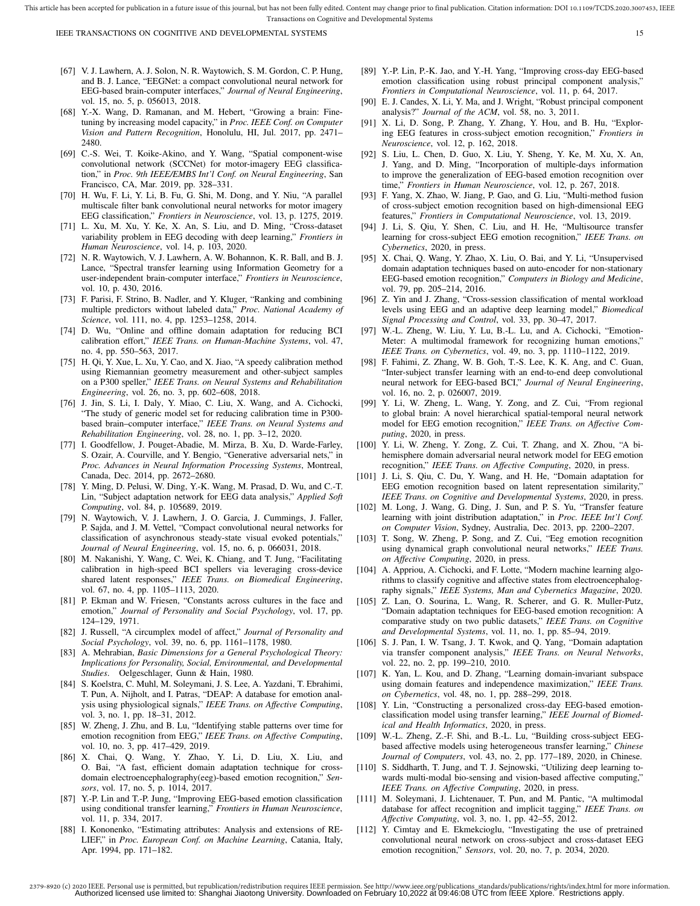- [67] V. J. Lawhern, A. J. Solon, N. R. Waytowich, S. M. Gordon, C. P. Hung, and B. J. Lance, "EEGNet: a compact convolutional neural network for EEG-based brain-computer interfaces," *Journal of Neural Engineering*, vol. 15, no. 5, p. 056013, 2018.
- [68] Y.-X. Wang, D. Ramanan, and M. Hebert, "Growing a brain: Finetuning by increasing model capacity," in *Proc. IEEE Conf. on Computer Vision and Pattern Recognition*, Honolulu, HI, Jul. 2017, pp. 2471– 2480.
- [69] C.-S. Wei, T. Koike-Akino, and Y. Wang, "Spatial component-wise convolutional network (SCCNet) for motor-imagery EEG classification," in *Proc. 9th IEEE/EMBS Int'l Conf. on Neural Engineering*, San Francisco, CA, Mar. 2019, pp. 328–331.
- [70] H. Wu, F. Li, Y. Li, B. Fu, G. Shi, M. Dong, and Y. Niu, "A parallel multiscale filter bank convolutional neural networks for motor imagery EEG classification," *Frontiers in Neuroscience*, vol. 13, p. 1275, 2019.
- [71] L. Xu, M. Xu, Y. Ke, X. An, S. Liu, and D. Ming, "Cross-dataset variability problem in EEG decoding with deep learning," *Frontiers in Human Neuroscience*, vol. 14, p. 103, 2020.
- [72] N. R. Waytowich, V. J. Lawhern, A. W. Bohannon, K. R. Ball, and B. J. Lance, "Spectral transfer learning using Information Geometry for a user-independent brain-computer interface," *Frontiers in Neuroscience*, vol. 10, p. 430, 2016.
- [73] F. Parisi, F. Strino, B. Nadler, and Y. Kluger, "Ranking and combining multiple predictors without labeled data," *Proc. National Academy of Science*, vol. 111, no. 4, pp. 1253–1258, 2014.
- [74] D. Wu, "Online and offline domain adaptation for reducing BCI calibration effort," *IEEE Trans. on Human-Machine Systems*, vol. 47, no. 4, pp. 550–563, 2017.
- [75] H. Qi, Y. Xue, L. Xu, Y. Cao, and X. Jiao, "A speedy calibration method using Riemannian geometry measurement and other-subject samples on a P300 speller," *IEEE Trans. on Neural Systems and Rehabilitation Engineering*, vol. 26, no. 3, pp. 602–608, 2018.
- [76] J. Jin, S. Li, I. Daly, Y. Miao, C. Liu, X. Wang, and A. Cichocki, "The study of generic model set for reducing calibration time in P300 based brain–computer interface," *IEEE Trans. on Neural Systems and Rehabilitation Engineering*, vol. 28, no. 1, pp. 3–12, 2020.
- [77] I. Goodfellow, J. Pouget-Abadie, M. Mirza, B. Xu, D. Warde-Farley, S. Ozair, A. Courville, and Y. Bengio, "Generative adversarial nets," in *Proc. Advances in Neural Information Processing Systems*, Montreal, Canada, Dec. 2014, pp. 2672–2680.
- [78] Y. Ming, D. Pelusi, W. Ding, Y.-K. Wang, M. Prasad, D. Wu, and C.-T. Lin, "Subject adaptation network for EEG data analysis," *Applied Soft Computing*, vol. 84, p. 105689, 2019.
- [79] N. Waytowich, V. J. Lawhern, J. O. Garcia, J. Cummings, J. Faller, P. Sajda, and J. M. Vettel, "Compact convolutional neural networks for classification of asynchronous steady-state visual evoked potentials," *Journal of Neural Engineering*, vol. 15, no. 6, p. 066031, 2018.
- [80] M. Nakanishi, Y. Wang, C. Wei, K. Chiang, and T. Jung, "Facilitating calibration in high-speed BCI spellers via leveraging cross-device shared latent responses," *IEEE Trans. on Biomedical Engineering*, vol. 67, no. 4, pp. 1105–1113, 2020.
- [81] P. Ekman and W. Friesen, "Constants across cultures in the face and emotion," *Journal of Personality and Social Psychology*, vol. 17, pp. 124–129, 1971.
- [82] J. Russell, "A circumplex model of affect," *Journal of Personality and Social Psychology*, vol. 39, no. 6, pp. 1161–1178, 1980.
- [83] A. Mehrabian, *Basic Dimensions for a General Psychological Theory: Implications for Personality, Social, Environmental, and Developmental Studies*. Oelgeschlager, Gunn & Hain, 1980.
- [84] S. Koelstra, C. Muhl, M. Soleymani, J. S. Lee, A. Yazdani, T. Ebrahimi, T. Pun, A. Nijholt, and I. Patras, "DEAP: A database for emotion analysis using physiological signals," *IEEE Trans. on Affective Computing*, vol. 3, no. 1, pp. 18–31, 2012.
- [85] W. Zheng, J. Zhu, and B. Lu, "Identifying stable patterns over time for emotion recognition from EEG," *IEEE Trans. on Affective Computing*, vol. 10, no. 3, pp. 417–429, 2019.
- [86] X. Chai, Q. Wang, Y. Zhao, Y. Li, D. Liu, X. Liu, and O. Bai, "A fast, efficient domain adaptation technique for crossdomain electroencephalography(eeg)-based emotion recognition," *Sensors*, vol. 17, no. 5, p. 1014, 2017.
- [87] Y.-P. Lin and T.-P. Jung, "Improving EEG-based emotion classification using conditional transfer learning," *Frontiers in Human Neuroscience*, vol. 11, p. 334, 2017.
- [88] I. Kononenko, "Estimating attributes: Analysis and extensions of RE-LIEF," in *Proc. European Conf. on Machine Learning*, Catania, Italy, Apr. 1994, pp. 171–182.
- [89] Y.-P. Lin, P.-K. Jao, and Y.-H. Yang, "Improving cross-day EEG-based emotion classification using robust principal component analysis," *Frontiers in Computational Neuroscience*, vol. 11, p. 64, 2017.
- [90] E. J. Candes, X. Li, Y. Ma, and J. Wright, "Robust principal component analysis?" *Journal of the ACM*, vol. 58, no. 3, 2011.
- [91] X. Li, D. Song, P. Zhang, Y. Zhang, Y. Hou, and B. Hu, "Exploring EEG features in cross-subject emotion recognition," *Frontiers in Neuroscience*, vol. 12, p. 162, 2018.
- [92] S. Liu, L. Chen, D. Guo, X. Liu, Y. Sheng, Y. Ke, M. Xu, X. An, J. Yang, and D. Ming, "Incorporation of multiple-days information to improve the generalization of EEG-based emotion recognition over time," *Frontiers in Human Neuroscience*, vol. 12, p. 267, 2018.
- [93] F. Yang, X. Zhao, W. Jiang, P. Gao, and G. Liu, "Multi-method fusion of cross-subject emotion recognition based on high-dimensional EEG features," *Frontiers in Computational Neuroscience*, vol. 13, 2019.
- [94] J. Li, S. Qiu, Y. Shen, C. Liu, and H. He, "Multisource transfer learning for cross-subject EEG emotion recognition," *IEEE Trans. on Cybernetics*, 2020, in press.
- [95] X. Chai, Q. Wang, Y. Zhao, X. Liu, O. Bai, and Y. Li, "Unsupervised domain adaptation techniques based on auto-encoder for non-stationary EEG-based emotion recognition," *Computers in Biology and Medicine*, vol. 79, pp. 205–214, 2016.
- [96] Z. Yin and J. Zhang, "Cross-session classification of mental workload levels using EEG and an adaptive deep learning model," *Biomedical Signal Processing and Control*, vol. 33, pp. 30–47, 2017.
- [97] W.-L. Zheng, W. Liu, Y. Lu, B.-L. Lu, and A. Cichocki, "Emotion-Meter: A multimodal framework for recognizing human emotions," *IEEE Trans. on Cybernetics*, vol. 49, no. 3, pp. 1110–1122, 2019.
- [98] F. Fahimi, Z. Zhang, W. B. Goh, T.-S. Lee, K. K. Ang, and C. Guan, "Inter-subject transfer learning with an end-to-end deep convolutional neural network for EEG-based BCI," *Journal of Neural Engineering*, vol. 16, no. 2, p. 026007, 2019.
- [99] Y. Li, W. Zheng, L. Wang, Y. Zong, and Z. Cui, "From regional to global brain: A novel hierarchical spatial-temporal neural network model for EEG emotion recognition," *IEEE Trans. on Affective Computing*, 2020, in press.
- [100] Y. Li, W. Zheng, Y. Zong, Z. Cui, T. Zhang, and X. Zhou, "A bihemisphere domain adversarial neural network model for EEG emotion recognition," *IEEE Trans. on Affective Computing*, 2020, in press.
- [101] J. Li, S. Qiu, C. Du, Y. Wang, and H. He, "Domain adaptation for EEG emotion recognition based on latent representation similarity," *IEEE Trans. on Cognitive and Developmental Systems*, 2020, in press.
- [102] M. Long, J. Wang, G. Ding, J. Sun, and P. S. Yu, "Transfer feature learning with joint distribution adaptation," in *Proc. IEEE Int'l Conf. on Computer Vision*, Sydney, Australia, Dec. 2013, pp. 2200–2207.
- [103] T. Song, W. Zheng, P. Song, and Z. Cui, "Eeg emotion recognition using dynamical graph convolutional neural networks," *IEEE Trans. on Affective Computing*, 2020, in press.
- [104] A. Appriou, A. Cichocki, and F. Lotte, "Modern machine learning algorithms to classify cognitive and affective states from electroencephalography signals," *IEEE Systems, Man and Cybernetics Magazine*, 2020.
- [105] Z. Lan, O. Sourina, L. Wang, R. Scherer, and G. R. Muller-Putz, "Domain adaptation techniques for EEG-based emotion recognition: A comparative study on two public datasets," *IEEE Trans. on Cognitive and Developmental Systems*, vol. 11, no. 1, pp. 85–94, 2019.
- [106] S. J. Pan, I. W. Tsang, J. T. Kwok, and Q. Yang, "Domain adaptation via transfer component analysis," *IEEE Trans. on Neural Networks*, vol. 22, no. 2, pp. 199–210, 2010.
- [107] K. Yan, L. Kou, and D. Zhang, "Learning domain-invariant subspace using domain features and independence maximization," *IEEE Trans. on Cybernetics*, vol. 48, no. 1, pp. 288–299, 2018.
- [108] Y. Lin, "Constructing a personalized cross-day EEG-based emotionclassification model using transfer learning," *IEEE Journal of Biomedical and Health Informatics*, 2020, in press.
- [109] W.-L. Zheng, Z.-F. Shi, and B.-L. Lu, "Building cross-subject EEGbased affective models using heterogeneous transfer learning," *Chinese Journal of Computers*, vol. 43, no. 2, pp. 177–189, 2020, in Chinese.
- [110] S. Siddharth, T. Jung, and T. J. Sejnowski, "Utilizing deep learning towards multi-modal bio-sensing and vision-based affective computing," *IEEE Trans. on Affective Computing*, 2020, in press.
- [111] M. Soleymani, J. Lichtenauer, T. Pun, and M. Pantic, "A multimodal database for affect recognition and implicit tagging," *IEEE Trans. on Affective Computing*, vol. 3, no. 1, pp. 42–55, 2012.
- [112] Y. Cimtay and E. Ekmekcioglu, "Investigating the use of pretrained convolutional neural network on cross-subject and cross-dataset EEG emotion recognition," *Sensors*, vol. 20, no. 7, p. 2034, 2020.